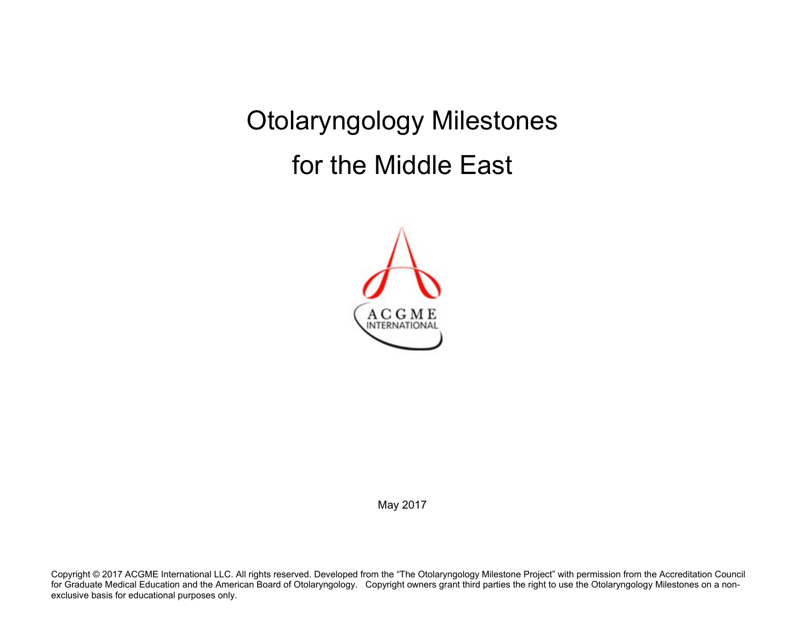Otolaryngology Milestones for the Middle East



May 2017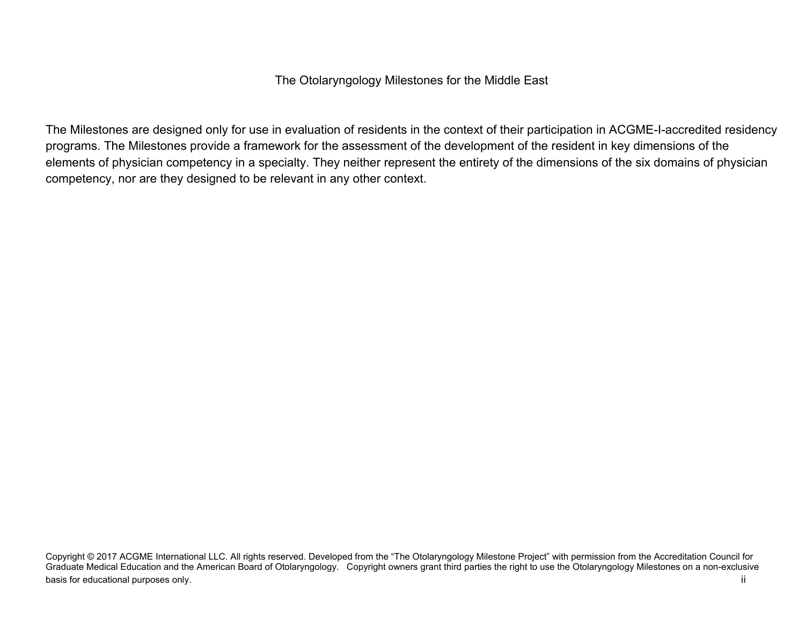The Otolaryngology Milestones for the Middle East

The Milestones are designed only for use in evaluation of residents in the context of their participation in ACGME-I-accredited residency programs. The Milestones provide a framework for the assessment of the development of the resident in key dimensions of the elements of physician competency in a specialty. They neither represent the entirety of the dimensions of the six domains of physician competency, nor are they designed to be relevant in any other context.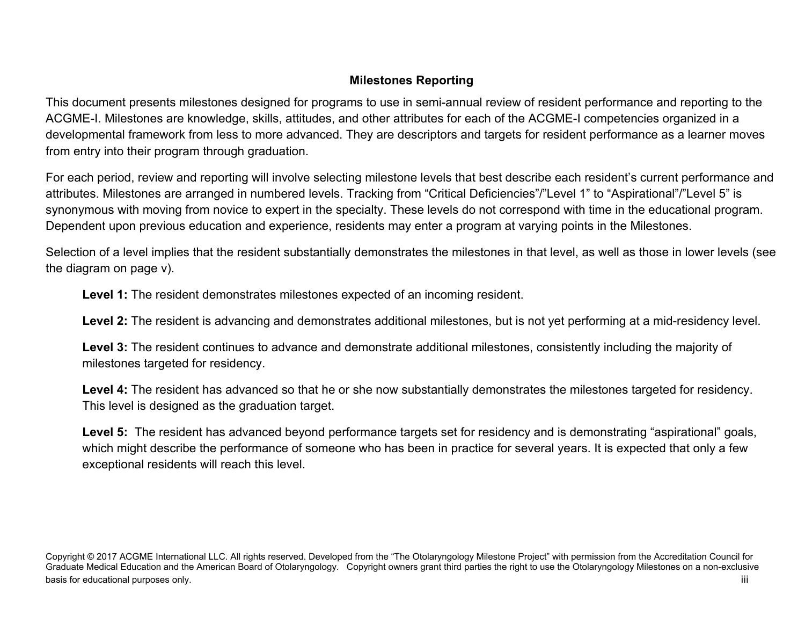## **Milestones Reporting**

This document presents milestones designed for programs to use in semi-annual review of resident performance and reporting to the ACGME-I. Milestones are knowledge, skills, attitudes, and other attributes for each of the ACGME-I competencies organized in a developmental framework from less to more advanced. They are descriptors and targets for resident performance as a learner moves from entry into their program through graduation.

For each period, review and reporting will involve selecting milestone levels that best describe each resident's current performance and attributes. Milestones are arranged in numbered levels. Tracking from "Critical Deficiencies"/"Level 1" to "Aspirational"/"Level 5" is synonymous with moving from novice to expert in the specialty. These levels do not correspond with time in the educational program. Dependent upon previous education and experience, residents may enter a program at varying points in the Milestones.

Selection of a level implies that the resident substantially demonstrates the milestones in that level, as well as those in lower levels (see the diagram on page v).

**Level 1:** The resident demonstrates milestones expected of an incoming resident.

**Level 2:** The resident is advancing and demonstrates additional milestones, but is not yet performing at a mid-residency level.

**Level 3:** The resident continues to advance and demonstrate additional milestones, consistently including the majority of milestones targeted for residency.

**Level 4:** The resident has advanced so that he or she now substantially demonstrates the milestones targeted for residency. This level is designed as the graduation target.

Level 5: The resident has advanced beyond performance targets set for residency and is demonstrating "aspirational" goals, which might describe the performance of someone who has been in practice for several years. It is expected that only a few exceptional residents will reach this level.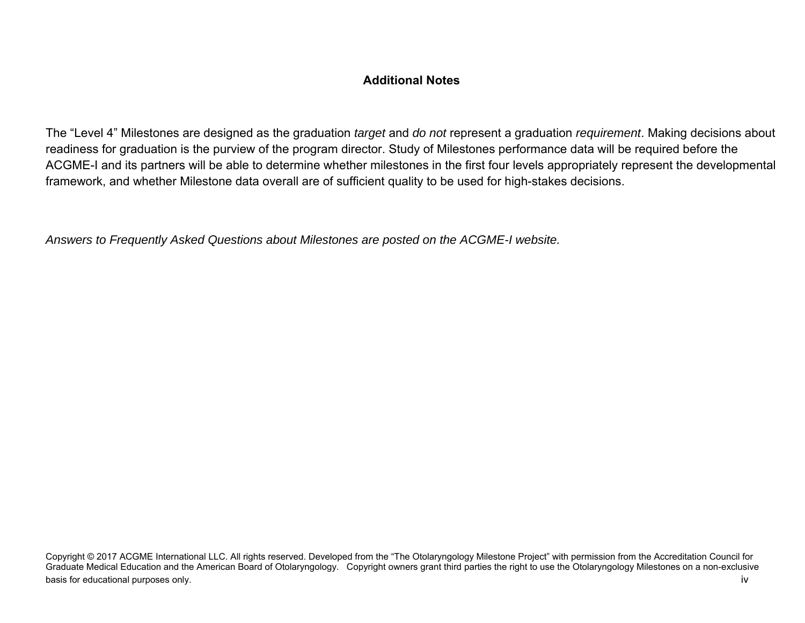## **Additional Notes**

The "Level 4" Milestones are designed as the graduation *target* and *do not* represent a graduation *requirement*. Making decisions about readiness for graduation is the purview of the program director. Study of Milestones performance data will be required before the ACGME-I and its partners will be able to determine whether milestones in the first four levels appropriately represent the developmental framework, and whether Milestone data overall are of sufficient quality to be used for high-stakes decisions.

*Answers to Frequently Asked Questions about Milestones are posted on the ACGME-I website.*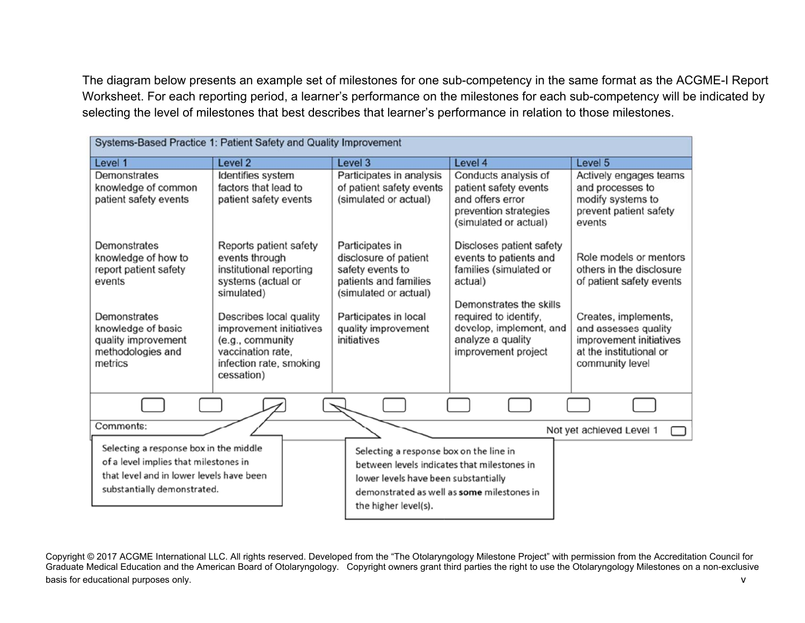The diagram below presents an example set of milestones for one sub-competency in the same format as the ACGME-I Report Worksheet. For each reporting period, a learner's performance on the milestones for each sub-competency will be indicated by selecting the level of milestones that best describes that learner's performance in relation to those milestones.

| Systems-Based Practice 1: Patient Safety and Quality Improvement                                                                                                    |                                                                                                                                                                                                                                                                                                         |                                                                                                                                                                                                      |                                                                                                                                                                                                                    |                                                                                                                                                                                                         |
|---------------------------------------------------------------------------------------------------------------------------------------------------------------------|---------------------------------------------------------------------------------------------------------------------------------------------------------------------------------------------------------------------------------------------------------------------------------------------------------|------------------------------------------------------------------------------------------------------------------------------------------------------------------------------------------------------|--------------------------------------------------------------------------------------------------------------------------------------------------------------------------------------------------------------------|---------------------------------------------------------------------------------------------------------------------------------------------------------------------------------------------------------|
| Level 1                                                                                                                                                             | Level <sub>2</sub>                                                                                                                                                                                                                                                                                      | Level 3                                                                                                                                                                                              | Level 4                                                                                                                                                                                                            | Level 5                                                                                                                                                                                                 |
| Demonstrates<br>knowledge of common<br>patient safety events                                                                                                        | Identifies system<br>factors that lead to<br>patient safety events<br>Reports patient safety<br>events through<br>institutional reporting<br>systems (actual or<br>simulated)<br>Describes local quality<br>improvement initiatives<br>(e.g., community<br>vaccination rate,<br>infection rate, smoking |                                                                                                                                                                                                      | Conducts analysis of<br>patient safety events<br>and offers error<br>prevention strategies<br>(simulated or actual)                                                                                                | Actively engages teams<br>and processes to<br>modify systems to<br>prevent patient safety<br>events                                                                                                     |
| Demonstrates<br>knowledge of how to<br>report patient safety<br>events<br>Demonstrates<br>knowledge of basic<br>quality improvement<br>methodologies and<br>metrics |                                                                                                                                                                                                                                                                                                         |                                                                                                                                                                                                      | Discloses patient safety<br>events to patients and<br>families (simulated or<br>actual)<br>Demonstrates the skills<br>required to identify,<br>develop, implement, and<br>analyze a quality<br>improvement project | Role models or mentors<br>others in the disclosure<br>of patient safety events<br>Creates, implements,<br>and assesses quality<br>improvement initiatives<br>at the institutional or<br>community level |
|                                                                                                                                                                     | cessation)                                                                                                                                                                                                                                                                                              |                                                                                                                                                                                                      |                                                                                                                                                                                                                    |                                                                                                                                                                                                         |
| Comments:                                                                                                                                                           |                                                                                                                                                                                                                                                                                                         |                                                                                                                                                                                                      |                                                                                                                                                                                                                    | Not yet achieved Level 1                                                                                                                                                                                |
| Selecting a response box in the middle<br>of a level implies that milestones in<br>that level and in lower levels have been<br>substantially demonstrated.          |                                                                                                                                                                                                                                                                                                         | Selecting a response box on the line in<br>between levels indicates that milestones in<br>lower levels have been substantially<br>demonstrated as well as some milestones in<br>the higher level(s). |                                                                                                                                                                                                                    |                                                                                                                                                                                                         |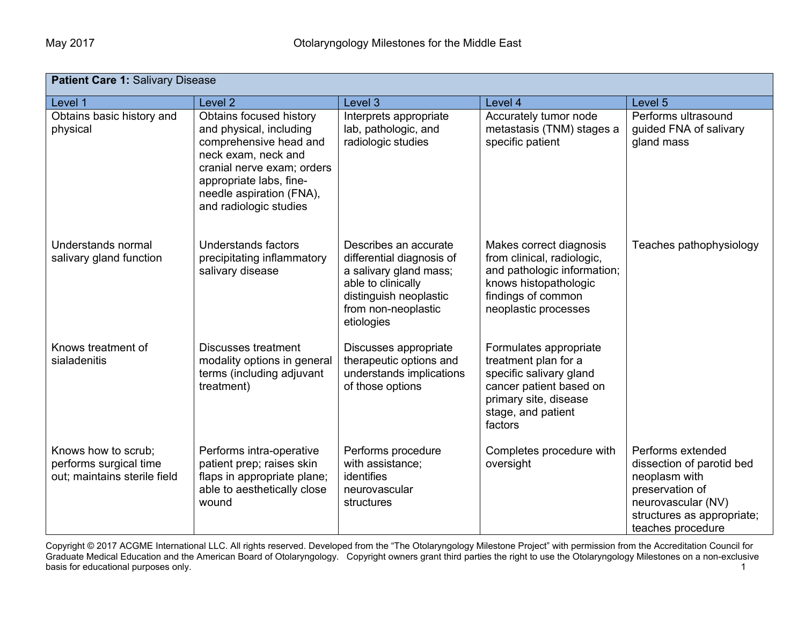| <b>Patient Care 1: Salivary Disease</b>                                       |                                                                                                                                                                                                                    |                                                                                                                                                                   |                                                                                                                                                                |                                                                                                                                                             |  |  |
|-------------------------------------------------------------------------------|--------------------------------------------------------------------------------------------------------------------------------------------------------------------------------------------------------------------|-------------------------------------------------------------------------------------------------------------------------------------------------------------------|----------------------------------------------------------------------------------------------------------------------------------------------------------------|-------------------------------------------------------------------------------------------------------------------------------------------------------------|--|--|
| Level 1                                                                       | Level 2                                                                                                                                                                                                            | Level 3                                                                                                                                                           | Level 4                                                                                                                                                        | Level 5                                                                                                                                                     |  |  |
| Obtains basic history and<br>physical                                         | Obtains focused history<br>and physical, including<br>comprehensive head and<br>neck exam, neck and<br>cranial nerve exam; orders<br>appropriate labs, fine-<br>needle aspiration (FNA),<br>and radiologic studies | Interprets appropriate<br>lab, pathologic, and<br>radiologic studies                                                                                              | Accurately tumor node<br>metastasis (TNM) stages a<br>specific patient                                                                                         | Performs ultrasound<br>guided FNA of salivary<br>gland mass                                                                                                 |  |  |
| Understands normal<br>salivary gland function                                 | Understands factors<br>precipitating inflammatory<br>salivary disease                                                                                                                                              | Describes an accurate<br>differential diagnosis of<br>a salivary gland mass;<br>able to clinically<br>distinguish neoplastic<br>from non-neoplastic<br>etiologies | Makes correct diagnosis<br>from clinical, radiologic,<br>and pathologic information;<br>knows histopathologic<br>findings of common<br>neoplastic processes    | Teaches pathophysiology                                                                                                                                     |  |  |
| Knows treatment of<br>sialadenitis                                            | Discusses treatment<br>modality options in general<br>terms (including adjuvant<br>treatment)                                                                                                                      | Discusses appropriate<br>therapeutic options and<br>understands implications<br>of those options                                                                  | Formulates appropriate<br>treatment plan for a<br>specific salivary gland<br>cancer patient based on<br>primary site, disease<br>stage, and patient<br>factors |                                                                                                                                                             |  |  |
| Knows how to scrub;<br>performs surgical time<br>out; maintains sterile field | Performs intra-operative<br>patient prep; raises skin<br>flaps in appropriate plane;<br>able to aesthetically close<br>wound                                                                                       | Performs procedure<br>with assistance;<br>identifies<br>neurovascular<br>structures                                                                               | Completes procedure with<br>oversight                                                                                                                          | Performs extended<br>dissection of parotid bed<br>neoplasm with<br>preservation of<br>neurovascular (NV)<br>structures as appropriate;<br>teaches procedure |  |  |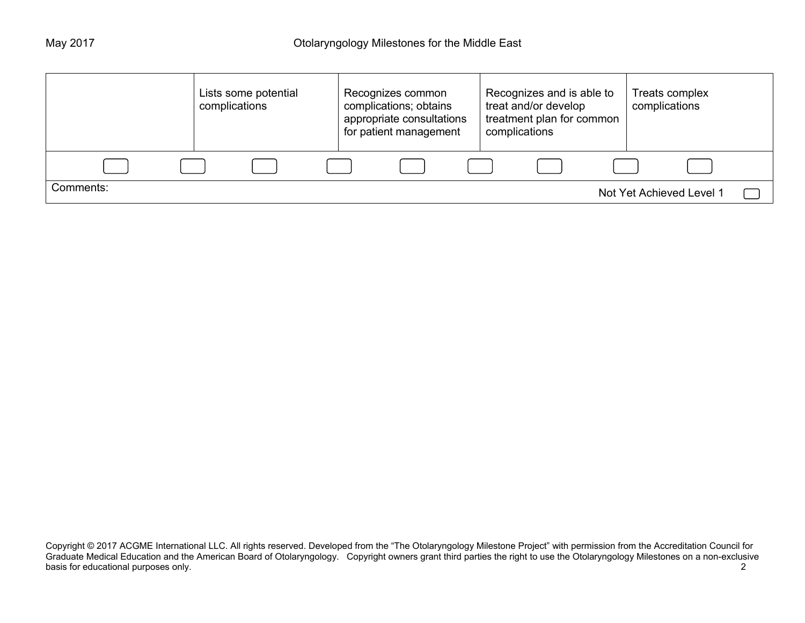|           | Lists some potential<br>complications | Recognizes common<br>complications; obtains<br>appropriate consultations<br>for patient management | Recognizes and is able to<br>treat and/or develop<br>treatment plan for common<br>complications | Treats complex<br>complications |
|-----------|---------------------------------------|----------------------------------------------------------------------------------------------------|-------------------------------------------------------------------------------------------------|---------------------------------|
|           |                                       |                                                                                                    |                                                                                                 |                                 |
| Comments: |                                       |                                                                                                    |                                                                                                 | Not Yet Achieved Level 1        |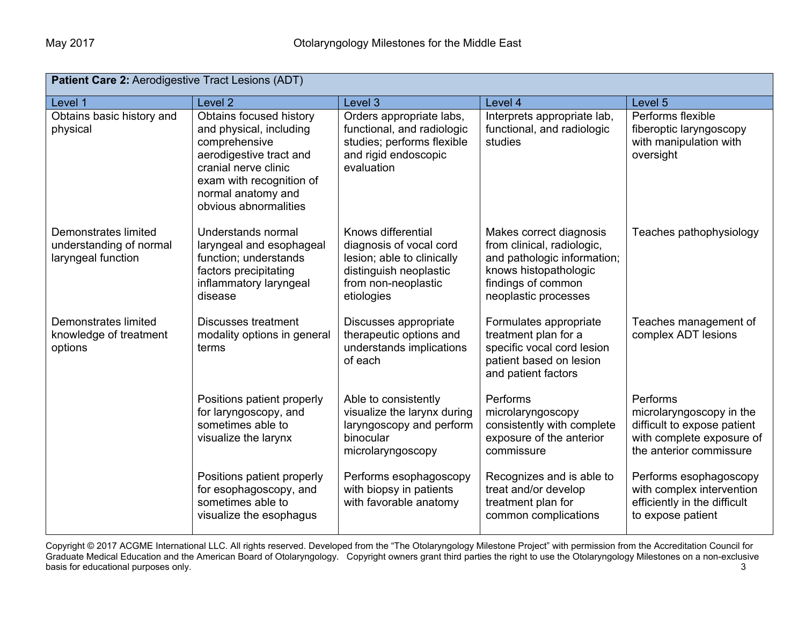| Patient Care 2: Aerodigestive Tract Lesions (ADT)                     |                                                                                                                                                                                                   |                                                                                                                                            |                                                                                                                                                             |                                                                                                                             |  |  |
|-----------------------------------------------------------------------|---------------------------------------------------------------------------------------------------------------------------------------------------------------------------------------------------|--------------------------------------------------------------------------------------------------------------------------------------------|-------------------------------------------------------------------------------------------------------------------------------------------------------------|-----------------------------------------------------------------------------------------------------------------------------|--|--|
| Level 1                                                               | Level <sub>2</sub>                                                                                                                                                                                | Level <sub>3</sub>                                                                                                                         | Level 4                                                                                                                                                     | Level 5                                                                                                                     |  |  |
| Obtains basic history and<br>physical                                 | Obtains focused history<br>and physical, including<br>comprehensive<br>aerodigestive tract and<br>cranial nerve clinic<br>exam with recognition of<br>normal anatomy and<br>obvious abnormalities | Orders appropriate labs,<br>functional, and radiologic<br>studies; performs flexible<br>and rigid endoscopic<br>evaluation                 | Interprets appropriate lab,<br>functional, and radiologic<br>studies                                                                                        | Performs flexible<br>fiberoptic laryngoscopy<br>with manipulation with<br>oversight                                         |  |  |
| Demonstrates limited<br>understanding of normal<br>laryngeal function | Understands normal<br>laryngeal and esophageal<br>function; understands<br>factors precipitating<br>inflammatory laryngeal<br>disease                                                             | Knows differential<br>diagnosis of vocal cord<br>lesion; able to clinically<br>distinguish neoplastic<br>from non-neoplastic<br>etiologies | Makes correct diagnosis<br>from clinical, radiologic,<br>and pathologic information;<br>knows histopathologic<br>findings of common<br>neoplastic processes | Teaches pathophysiology                                                                                                     |  |  |
| Demonstrates limited<br>knowledge of treatment<br>options             | <b>Discusses treatment</b><br>modality options in general<br>terms                                                                                                                                | Discusses appropriate<br>therapeutic options and<br>understands implications<br>of each                                                    | Formulates appropriate<br>treatment plan for a<br>specific vocal cord lesion<br>patient based on lesion<br>and patient factors                              | Teaches management of<br>complex ADT lesions                                                                                |  |  |
|                                                                       | Positions patient properly<br>for laryngoscopy, and<br>sometimes able to<br>visualize the larynx                                                                                                  | Able to consistently<br>visualize the larynx during<br>laryngoscopy and perform<br>binocular<br>microlaryngoscopy                          | Performs<br>microlaryngoscopy<br>consistently with complete<br>exposure of the anterior<br>commissure                                                       | Performs<br>microlaryngoscopy in the<br>difficult to expose patient<br>with complete exposure of<br>the anterior commissure |  |  |
|                                                                       | Positions patient properly<br>for esophagoscopy, and<br>sometimes able to<br>visualize the esophagus                                                                                              | Performs esophagoscopy<br>with biopsy in patients<br>with favorable anatomy                                                                | Recognizes and is able to<br>treat and/or develop<br>treatment plan for<br>common complications                                                             | Performs esophagoscopy<br>with complex intervention<br>efficiently in the difficult<br>to expose patient                    |  |  |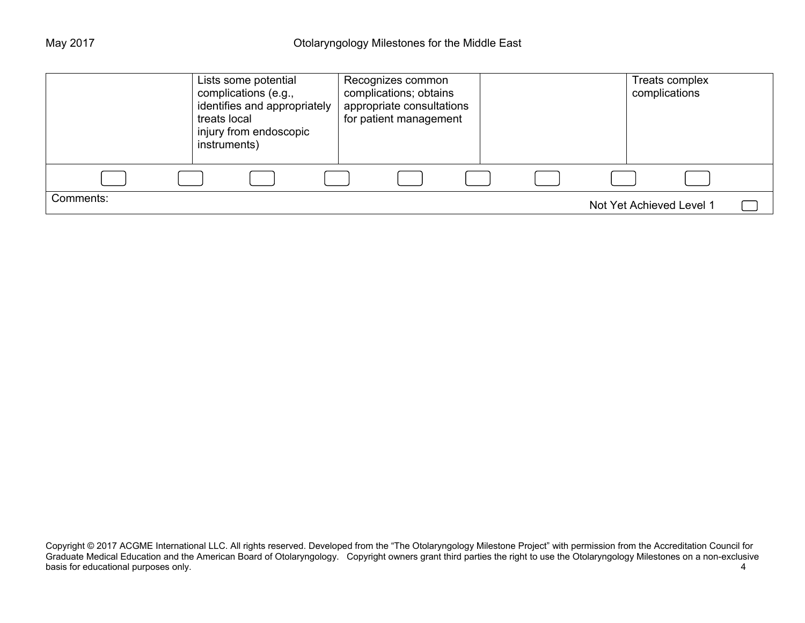|           | treats local | Lists some potential<br>complications (e.g.,<br>identifies and appropriately<br>injury from endoscopic<br>instruments) |  | Recognizes common<br>complications; obtains<br>appropriate consultations<br>for patient management |  |  | Treats complex<br>complications |  |
|-----------|--------------|------------------------------------------------------------------------------------------------------------------------|--|----------------------------------------------------------------------------------------------------|--|--|---------------------------------|--|
|           |              |                                                                                                                        |  |                                                                                                    |  |  |                                 |  |
| Comments: |              |                                                                                                                        |  |                                                                                                    |  |  | Not Yet Achieved Level 1        |  |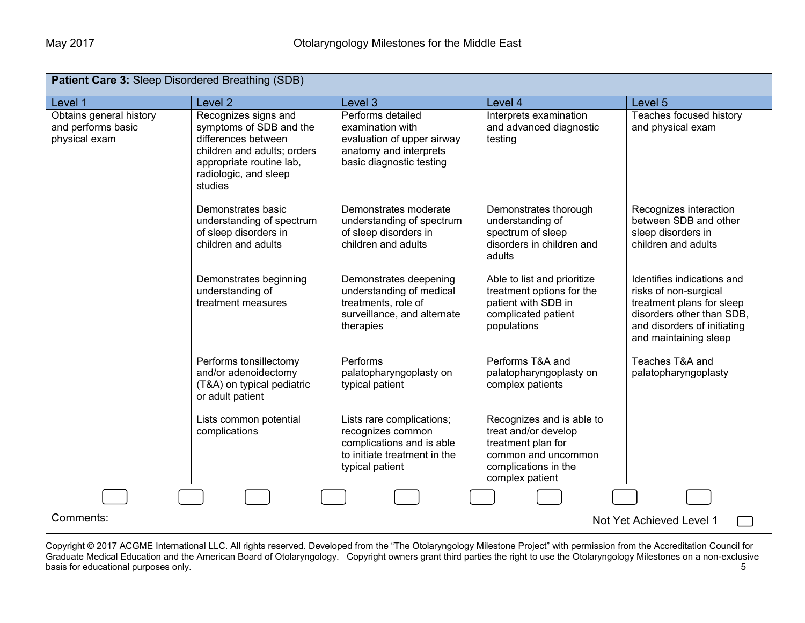| <b>Patient Care 3: Sleep Disordered Breathing (SDB)</b>        |                                                                                                                                                                       |                                                                                                                                |                                                                                                                                           |                                                                                                                                                                       |  |  |
|----------------------------------------------------------------|-----------------------------------------------------------------------------------------------------------------------------------------------------------------------|--------------------------------------------------------------------------------------------------------------------------------|-------------------------------------------------------------------------------------------------------------------------------------------|-----------------------------------------------------------------------------------------------------------------------------------------------------------------------|--|--|
| Level 1                                                        | Level <sub>2</sub>                                                                                                                                                    | Level <sub>3</sub>                                                                                                             | Level 4                                                                                                                                   | Level 5                                                                                                                                                               |  |  |
| Obtains general history<br>and performs basic<br>physical exam | Recognizes signs and<br>symptoms of SDB and the<br>differences between<br>children and adults; orders<br>appropriate routine lab,<br>radiologic, and sleep<br>studies | Performs detailed<br>examination with<br>evaluation of upper airway<br>anatomy and interprets<br>basic diagnostic testing      | Interprets examination<br>and advanced diagnostic<br>testing                                                                              | Teaches focused history<br>and physical exam                                                                                                                          |  |  |
|                                                                | Demonstrates basic<br>understanding of spectrum<br>of sleep disorders in<br>children and adults                                                                       | Demonstrates moderate<br>understanding of spectrum<br>of sleep disorders in<br>children and adults                             | Demonstrates thorough<br>understanding of<br>spectrum of sleep<br>disorders in children and<br>adults                                     | Recognizes interaction<br>between SDB and other<br>sleep disorders in<br>children and adults                                                                          |  |  |
|                                                                | Demonstrates beginning<br>understanding of<br>treatment measures                                                                                                      | Demonstrates deepening<br>understanding of medical<br>treatments, role of<br>surveillance, and alternate<br>therapies          | Able to list and prioritize<br>treatment options for the<br>patient with SDB in<br>complicated patient<br>populations                     | Identifies indications and<br>risks of non-surgical<br>treatment plans for sleep<br>disorders other than SDB,<br>and disorders of initiating<br>and maintaining sleep |  |  |
|                                                                | Performs tonsillectomy<br>and/or adenoidectomy<br>(T&A) on typical pediatric<br>or adult patient                                                                      | Performs<br>palatopharyngoplasty on<br>typical patient                                                                         | Performs T&A and<br>palatopharyngoplasty on<br>complex patients                                                                           | Teaches T&A and<br>palatopharyngoplasty                                                                                                                               |  |  |
|                                                                | Lists common potential<br>complications                                                                                                                               | Lists rare complications;<br>recognizes common<br>complications and is able<br>to initiate treatment in the<br>typical patient | Recognizes and is able to<br>treat and/or develop<br>treatment plan for<br>common and uncommon<br>complications in the<br>complex patient |                                                                                                                                                                       |  |  |
|                                                                |                                                                                                                                                                       |                                                                                                                                |                                                                                                                                           |                                                                                                                                                                       |  |  |
| Comments:                                                      |                                                                                                                                                                       |                                                                                                                                |                                                                                                                                           | Not Yet Achieved Level 1                                                                                                                                              |  |  |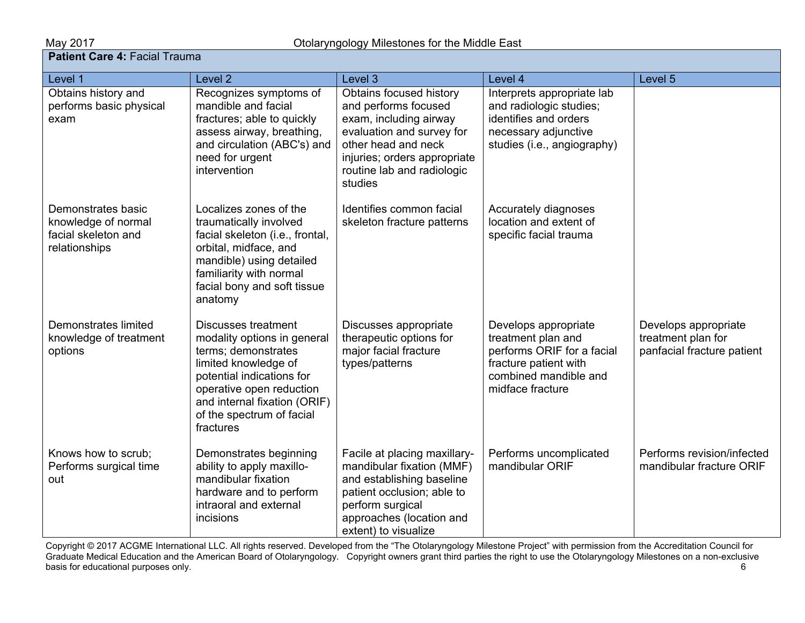| Level 1                                                                           | Level <sub>2</sub>                                                                                                                                                                                                                          | Level 3                                                                                                                                                                                                | Level 4                                                                                                                                        | Level 5                                                                  |
|-----------------------------------------------------------------------------------|---------------------------------------------------------------------------------------------------------------------------------------------------------------------------------------------------------------------------------------------|--------------------------------------------------------------------------------------------------------------------------------------------------------------------------------------------------------|------------------------------------------------------------------------------------------------------------------------------------------------|--------------------------------------------------------------------------|
| Obtains history and<br>performs basic physical<br>exam                            | Recognizes symptoms of<br>mandible and facial<br>fractures; able to quickly<br>assess airway, breathing,<br>and circulation (ABC's) and<br>need for urgent<br>intervention                                                                  | Obtains focused history<br>and performs focused<br>exam, including airway<br>evaluation and survey for<br>other head and neck<br>injuries; orders appropriate<br>routine lab and radiologic<br>studies | Interprets appropriate lab<br>and radiologic studies;<br>identifies and orders<br>necessary adjunctive<br>studies (i.e., angiography)          |                                                                          |
| Demonstrates basic<br>knowledge of normal<br>facial skeleton and<br>relationships | Localizes zones of the<br>traumatically involved<br>facial skeleton (i.e., frontal,<br>orbital, midface, and<br>mandible) using detailed<br>familiarity with normal<br>facial bony and soft tissue<br>anatomy                               | Identifies common facial<br>skeleton fracture patterns                                                                                                                                                 | Accurately diagnoses<br>location and extent of<br>specific facial trauma                                                                       |                                                                          |
| Demonstrates limited<br>knowledge of treatment<br>options                         | <b>Discusses treatment</b><br>modality options in general<br>terms; demonstrates<br>limited knowledge of<br>potential indications for<br>operative open reduction<br>and internal fixation (ORIF)<br>of the spectrum of facial<br>fractures | Discusses appropriate<br>therapeutic options for<br>major facial fracture<br>types/patterns                                                                                                            | Develops appropriate<br>treatment plan and<br>performs ORIF for a facial<br>fracture patient with<br>combined mandible and<br>midface fracture | Develops appropriate<br>treatment plan for<br>panfacial fracture patient |
| Knows how to scrub;<br>Performs surgical time<br>out                              | Demonstrates beginning<br>ability to apply maxillo-<br>mandibular fixation<br>hardware and to perform<br>intraoral and external<br>incisions                                                                                                | Facile at placing maxillary-<br>mandibular fixation (MMF)<br>and establishing baseline<br>patient occlusion; able to<br>perform surgical<br>approaches (location and<br>extent) to visualize           | Performs uncomplicated<br>mandibular ORIF                                                                                                      | Performs revision/infected<br>mandibular fracture ORIF                   |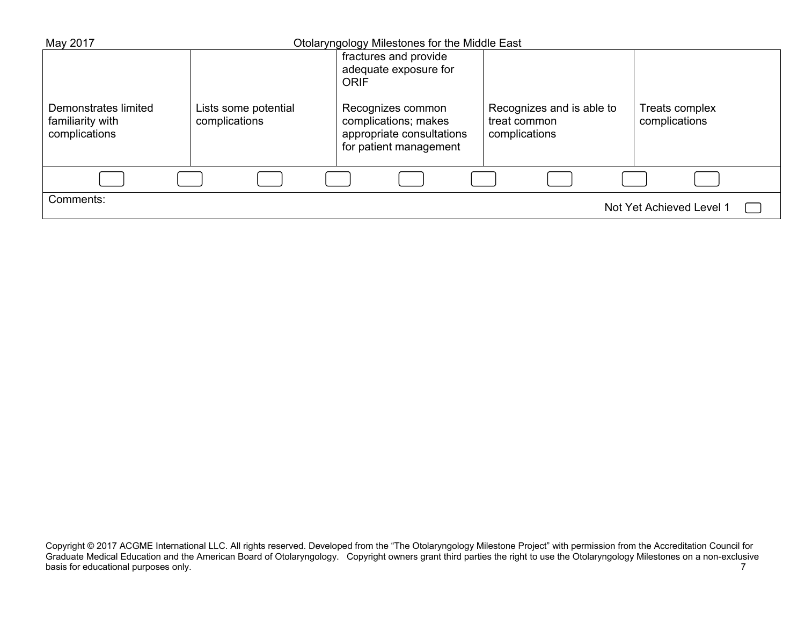| May 2017                                                  |                                       | Otolaryngology Milestones for the Middle East                                                    |                                                            |                                 |
|-----------------------------------------------------------|---------------------------------------|--------------------------------------------------------------------------------------------------|------------------------------------------------------------|---------------------------------|
|                                                           |                                       | fractures and provide                                                                            |                                                            |                                 |
|                                                           |                                       | adequate exposure for<br><b>ORIF</b>                                                             |                                                            |                                 |
|                                                           |                                       |                                                                                                  |                                                            |                                 |
| Demonstrates limited<br>familiarity with<br>complications | Lists some potential<br>complications | Recognizes common<br>complications; makes<br>appropriate consultations<br>for patient management | Recognizes and is able to<br>treat common<br>complications | Treats complex<br>complications |
|                                                           |                                       |                                                                                                  |                                                            |                                 |
| Comments:                                                 |                                       |                                                                                                  |                                                            | Not Yet Achieved Level 1        |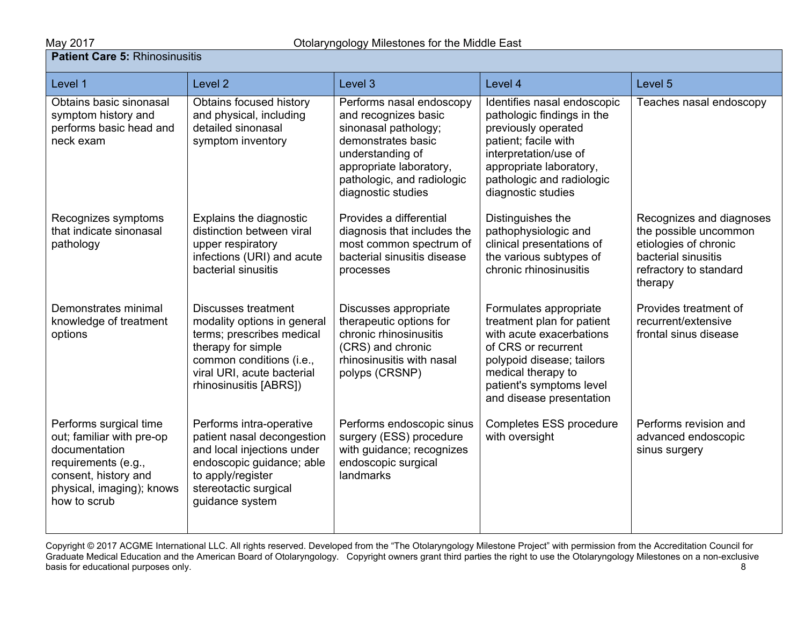## **Patient Care 5:** Rhinosinusitis

|  | Level 1                                                                                                                                                          | Level <sub>2</sub>                                                                                                                                                                        | Level 3                                                                                                                                                                                           | Level 4                                                                                                                                                                                                            | Level 5                                                                                                                                |  |
|--|------------------------------------------------------------------------------------------------------------------------------------------------------------------|-------------------------------------------------------------------------------------------------------------------------------------------------------------------------------------------|---------------------------------------------------------------------------------------------------------------------------------------------------------------------------------------------------|--------------------------------------------------------------------------------------------------------------------------------------------------------------------------------------------------------------------|----------------------------------------------------------------------------------------------------------------------------------------|--|
|  | Obtains basic sinonasal<br>symptom history and<br>performs basic head and<br>neck exam                                                                           | Obtains focused history<br>and physical, including<br>detailed sinonasal<br>symptom inventory                                                                                             | Performs nasal endoscopy<br>and recognizes basic<br>sinonasal pathology;<br>demonstrates basic<br>understanding of<br>appropriate laboratory,<br>pathologic, and radiologic<br>diagnostic studies | Identifies nasal endoscopic<br>pathologic findings in the<br>previously operated<br>patient; facile with<br>interpretation/use of<br>appropriate laboratory,<br>pathologic and radiologic<br>diagnostic studies    | Teaches nasal endoscopy                                                                                                                |  |
|  | Recognizes symptoms<br>that indicate sinonasal<br>pathology                                                                                                      | Explains the diagnostic<br>distinction between viral<br>upper respiratory<br>infections (URI) and acute<br>bacterial sinusitis                                                            | Provides a differential<br>diagnosis that includes the<br>most common spectrum of<br>bacterial sinusitis disease<br>processes                                                                     | Distinguishes the<br>pathophysiologic and<br>clinical presentations of<br>the various subtypes of<br>chronic rhinosinusitis                                                                                        | Recognizes and diagnoses<br>the possible uncommon<br>etiologies of chronic<br>bacterial sinusitis<br>refractory to standard<br>therapy |  |
|  | Demonstrates minimal<br>knowledge of treatment<br>options                                                                                                        | Discusses treatment<br>modality options in general<br>terms; prescribes medical<br>therapy for simple<br>common conditions (i.e.,<br>viral URI, acute bacterial<br>rhinosinusitis [ABRS]) | Discusses appropriate<br>therapeutic options for<br>chronic rhinosinusitis<br>(CRS) and chronic<br>rhinosinusitis with nasal<br>polyps (CRSNP)                                                    | Formulates appropriate<br>treatment plan for patient<br>with acute exacerbations<br>of CRS or recurrent<br>polypoid disease; tailors<br>medical therapy to<br>patient's symptoms level<br>and disease presentation | Provides treatment of<br>recurrent/extensive<br>frontal sinus disease                                                                  |  |
|  | Performs surgical time<br>out; familiar with pre-op<br>documentation<br>requirements (e.g.,<br>consent, history and<br>physical, imaging); knows<br>how to scrub | Performs intra-operative<br>patient nasal decongestion<br>and local injections under<br>endoscopic guidance; able<br>to apply/register<br>stereotactic surgical<br>guidance system        | Performs endoscopic sinus<br>surgery (ESS) procedure<br>with guidance; recognizes<br>endoscopic surgical<br>landmarks                                                                             | Completes ESS procedure<br>with oversight                                                                                                                                                                          | Performs revision and<br>advanced endoscopic<br>sinus surgery                                                                          |  |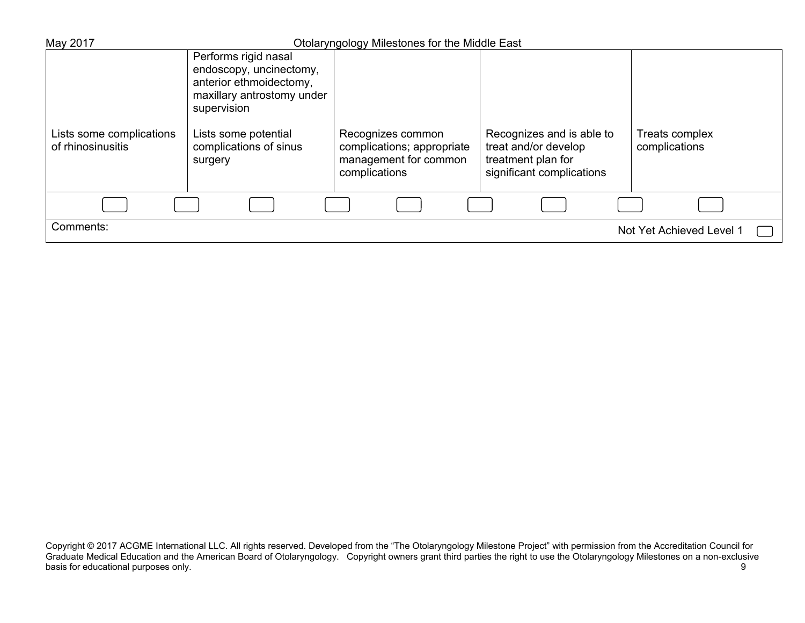| May 2017                 |                                                                                                                                                 | Otolaryngology Milestones for the Middle East                        |                                                                         |                          |
|--------------------------|-------------------------------------------------------------------------------------------------------------------------------------------------|----------------------------------------------------------------------|-------------------------------------------------------------------------|--------------------------|
| Lists some complications | Performs rigid nasal<br>endoscopy, uncinectomy,<br>anterior ethmoidectomy,<br>maxillary antrostomy under<br>supervision<br>Lists some potential | Recognizes common                                                    | Recognizes and is able to                                               | <b>Treats complex</b>    |
| of rhinosinusitis        | complications of sinus<br>surgery                                                                                                               | complications; appropriate<br>management for common<br>complications | treat and/or develop<br>treatment plan for<br>significant complications | complications            |
|                          |                                                                                                                                                 |                                                                      |                                                                         |                          |
| Comments:                |                                                                                                                                                 |                                                                      |                                                                         | Not Yet Achieved Level 1 |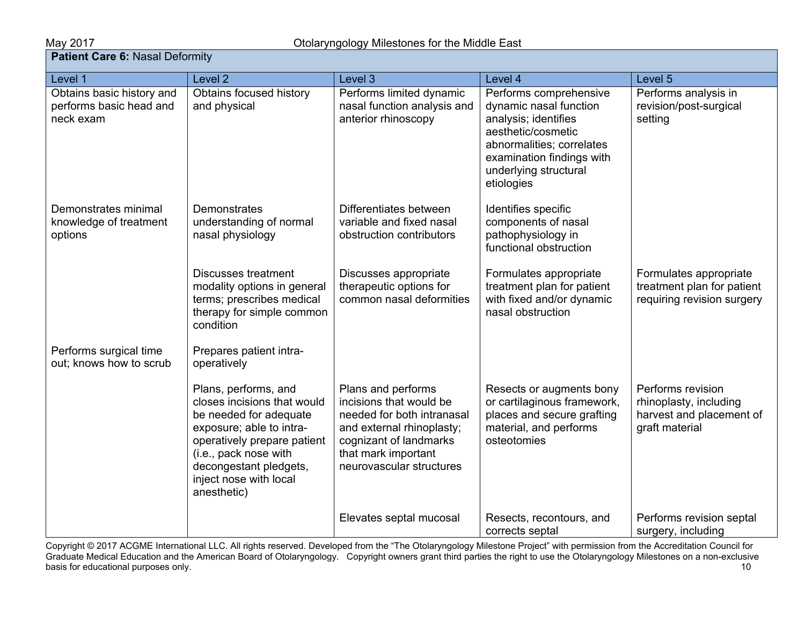# May 2017<br>**Patient Care 6:** Nasal Deformity

| Level 1                                                           | Level <sub>2</sub>                                                                                                                                                                                                                   | Level 3                                                                                                                                                                               | Level 4                                                                                                                                                                                         | Level 5                                                                                   |
|-------------------------------------------------------------------|--------------------------------------------------------------------------------------------------------------------------------------------------------------------------------------------------------------------------------------|---------------------------------------------------------------------------------------------------------------------------------------------------------------------------------------|-------------------------------------------------------------------------------------------------------------------------------------------------------------------------------------------------|-------------------------------------------------------------------------------------------|
| Obtains basic history and<br>performs basic head and<br>neck exam | Obtains focused history<br>and physical                                                                                                                                                                                              | Performs limited dynamic<br>nasal function analysis and<br>anterior rhinoscopy                                                                                                        | Performs comprehensive<br>dynamic nasal function<br>analysis; identifies<br>aesthetic/cosmetic<br>abnormalities; correlates<br>examination findings with<br>underlying structural<br>etiologies | Performs analysis in<br>revision/post-surgical<br>setting                                 |
| Demonstrates minimal<br>knowledge of treatment<br>options         | Demonstrates<br>understanding of normal<br>nasal physiology                                                                                                                                                                          | Differentiates between<br>variable and fixed nasal<br>obstruction contributors                                                                                                        | Identifies specific<br>components of nasal<br>pathophysiology in<br>functional obstruction                                                                                                      |                                                                                           |
|                                                                   | <b>Discusses treatment</b><br>modality options in general<br>terms; prescribes medical<br>therapy for simple common<br>condition                                                                                                     | Discusses appropriate<br>therapeutic options for<br>common nasal deformities                                                                                                          | Formulates appropriate<br>treatment plan for patient<br>with fixed and/or dynamic<br>nasal obstruction                                                                                          | Formulates appropriate<br>treatment plan for patient<br>requiring revision surgery        |
| Performs surgical time<br>out; knows how to scrub                 | Prepares patient intra-<br>operatively                                                                                                                                                                                               |                                                                                                                                                                                       |                                                                                                                                                                                                 |                                                                                           |
|                                                                   | Plans, performs, and<br>closes incisions that would<br>be needed for adequate<br>exposure; able to intra-<br>operatively prepare patient<br>(i.e., pack nose with<br>decongestant pledgets,<br>inject nose with local<br>anesthetic) | Plans and performs<br>incisions that would be<br>needed for both intranasal<br>and external rhinoplasty;<br>cognizant of landmarks<br>that mark important<br>neurovascular structures | Resects or augments bony<br>or cartilaginous framework,<br>places and secure grafting<br>material, and performs<br>osteotomies                                                                  | Performs revision<br>rhinoplasty, including<br>harvest and placement of<br>graft material |
|                                                                   |                                                                                                                                                                                                                                      | Elevates septal mucosal                                                                                                                                                               | Resects, recontours, and<br>corrects septal                                                                                                                                                     | Performs revision septal<br>surgery, including                                            |

Copyright © 2017 ACGME International LLC. All rights reserved. Developed from the "The Otolaryngology Milestone Project" with permission from the Accreditation Council for Graduate Medical Education and the American Board of Otolaryngology. Copyright owners grant third parties the right to use the Otolaryngology Milestones on a non-exclusive basis for educational purposes only. The contract of the contract of the contract of the contract of the contract of the contract of the contract of the contract of the contract of the contract of the contract of the contr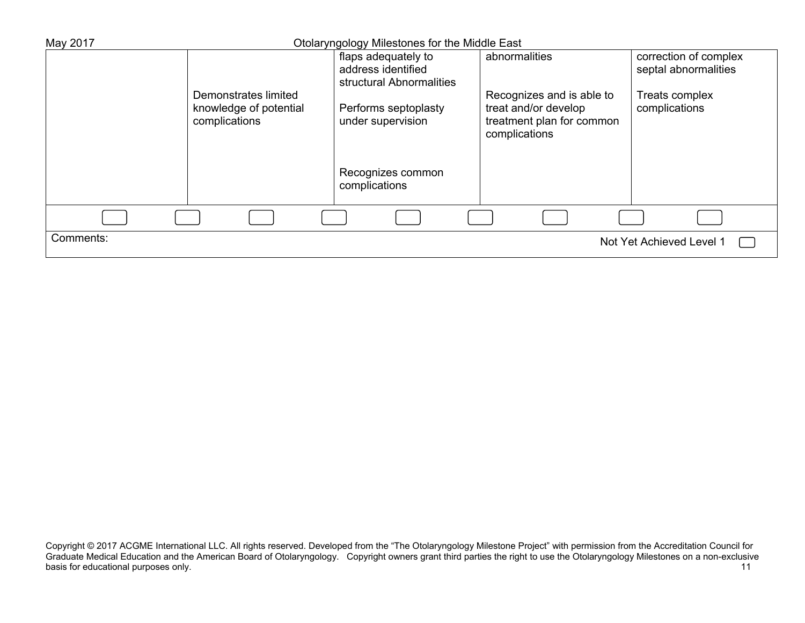| May 2017  |                                         | Otolaryngology Milestones for the Middle East |                                                                                                 |                                               |
|-----------|-----------------------------------------|-----------------------------------------------|-------------------------------------------------------------------------------------------------|-----------------------------------------------|
|           |                                         | flaps adequately to<br>address identified     | abnormalities                                                                                   | correction of complex<br>septal abnormalities |
|           | Demonstrates limited                    | structural Abnormalities                      |                                                                                                 |                                               |
|           | knowledge of potential<br>complications | Performs septoplasty<br>under supervision     | Recognizes and is able to<br>treat and/or develop<br>treatment plan for common<br>complications | Treats complex<br>complications               |
|           |                                         | Recognizes common<br>complications            |                                                                                                 |                                               |
|           |                                         |                                               |                                                                                                 |                                               |
| Comments: |                                         |                                               |                                                                                                 | Not Yet Achieved Level 1                      |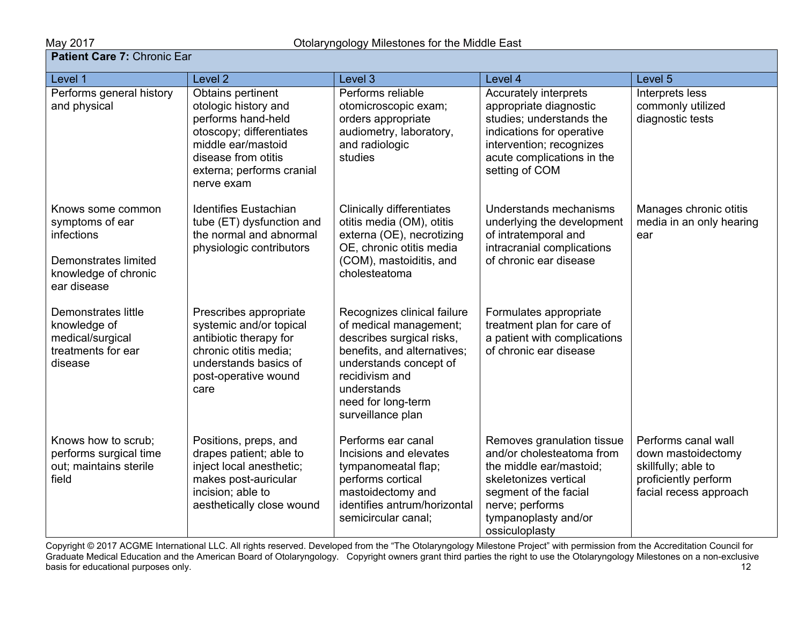**May 2017**<br>**Patient Care 7:** Chronic Ear

| <b>Fauent Care 7.</b> Chilomic Lai                                                                                       |                                                                                                                                                                                     |                                                                                                                                                                                                                         |                                                                                                                                                                                                   |                                                                                                                    |  |  |
|--------------------------------------------------------------------------------------------------------------------------|-------------------------------------------------------------------------------------------------------------------------------------------------------------------------------------|-------------------------------------------------------------------------------------------------------------------------------------------------------------------------------------------------------------------------|---------------------------------------------------------------------------------------------------------------------------------------------------------------------------------------------------|--------------------------------------------------------------------------------------------------------------------|--|--|
| Level 1                                                                                                                  | Level 2                                                                                                                                                                             | Level 3                                                                                                                                                                                                                 | Level 4                                                                                                                                                                                           | Level 5                                                                                                            |  |  |
| Performs general history<br>and physical                                                                                 | Obtains pertinent<br>otologic history and<br>performs hand-held<br>otoscopy; differentiates<br>middle ear/mastoid<br>disease from otitis<br>externa; performs cranial<br>nerve exam | Performs reliable<br>otomicroscopic exam;<br>orders appropriate<br>audiometry, laboratory,<br>and radiologic<br>studies                                                                                                 | Accurately interprets<br>appropriate diagnostic<br>studies; understands the<br>indications for operative<br>intervention; recognizes<br>acute complications in the<br>setting of COM              | Interprets less<br>commonly utilized<br>diagnostic tests                                                           |  |  |
| Knows some common<br>symptoms of ear<br>infections<br><b>Demonstrates limited</b><br>knowledge of chronic<br>ear disease | <b>Identifies Eustachian</b><br>tube (ET) dysfunction and<br>the normal and abnormal<br>physiologic contributors                                                                    | <b>Clinically differentiates</b><br>otitis media (OM), otitis<br>externa (OE), necrotizing<br>OE, chronic otitis media<br>(COM), mastoiditis, and<br>cholesteatoma                                                      | Understands mechanisms<br>underlying the development<br>of intratemporal and<br>intracranial complications<br>of chronic ear disease                                                              | Manages chronic otitis<br>media in an only hearing<br>ear                                                          |  |  |
| <b>Demonstrates little</b><br>knowledge of<br>medical/surgical<br>treatments for ear<br>disease                          | Prescribes appropriate<br>systemic and/or topical<br>antibiotic therapy for<br>chronic otitis media;<br>understands basics of<br>post-operative wound<br>care                       | Recognizes clinical failure<br>of medical management;<br>describes surgical risks,<br>benefits, and alternatives;<br>understands concept of<br>recidivism and<br>understands<br>need for long-term<br>surveillance plan | Formulates appropriate<br>treatment plan for care of<br>a patient with complications<br>of chronic ear disease                                                                                    |                                                                                                                    |  |  |
| Knows how to scrub;<br>performs surgical time<br>out; maintains sterile<br>field                                         | Positions, preps, and<br>drapes patient; able to<br>inject local anesthetic;<br>makes post-auricular<br>incision; able to<br>aesthetically close wound                              | Performs ear canal<br>Incisions and elevates<br>tympanomeatal flap;<br>performs cortical<br>mastoidectomy and<br>identifies antrum/horizontal<br>semicircular canal;                                                    | Removes granulation tissue<br>and/or cholesteatoma from<br>the middle ear/mastoid;<br>skeletonizes vertical<br>segment of the facial<br>nerve; performs<br>tympanoplasty and/or<br>ossiculoplasty | Performs canal wall<br>down mastoidectomy<br>skillfully; able to<br>proficiently perform<br>facial recess approach |  |  |

Copyright © 2017 ACGME International LLC. All rights reserved. Developed from the "The Otolaryngology Milestone Project" with permission from the Accreditation Council for Graduate Medical Education and the American Board of Otolaryngology. Copyright owners grant third parties the right to use the Otolaryngology Milestones on a non-exclusive basis for educational purposes only. The contract of the contract of the contract of the contract of the contract of the contract of the contract of the contract of the contract of the contract of the contract of the contr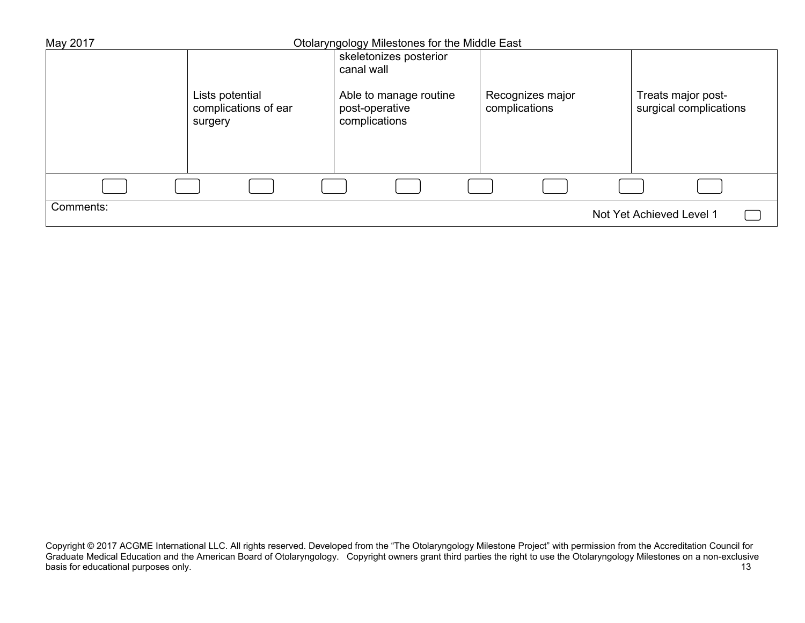| May 2017  |                                         | Otolaryngology Milestones for the Middle East |                                   |                                              |
|-----------|-----------------------------------------|-----------------------------------------------|-----------------------------------|----------------------------------------------|
|           |                                         | skeletonizes posterior                        |                                   |                                              |
|           |                                         | canal wall                                    |                                   |                                              |
|           | Lists potential<br>complications of ear | Able to manage routine<br>post-operative      | Recognizes major<br>complications | Treats major post-<br>surgical complications |
|           | surgery                                 | complications                                 |                                   |                                              |
|           |                                         |                                               |                                   |                                              |
|           |                                         |                                               |                                   |                                              |
|           |                                         |                                               |                                   |                                              |
| Comments: |                                         |                                               |                                   | Not Yet Achieved Level 1                     |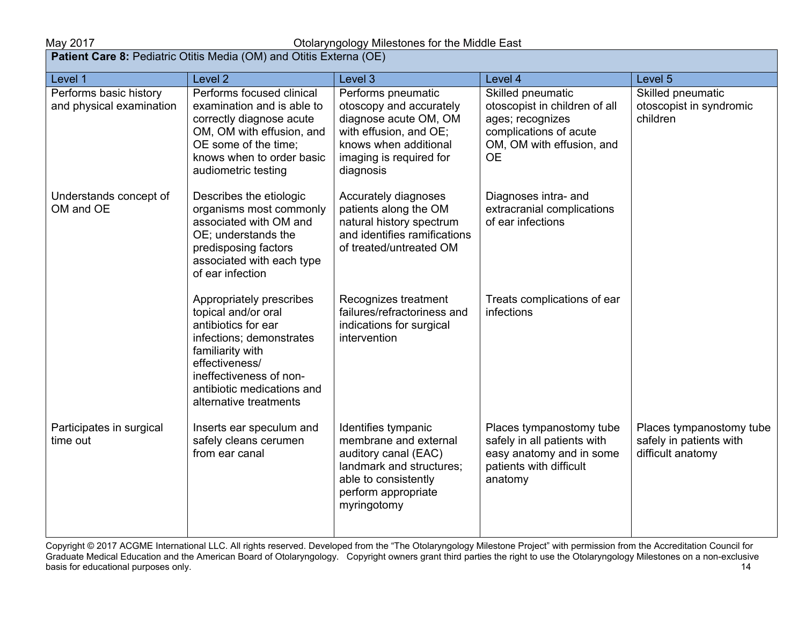| May 2017<br>Otolaryngology Milestones for the Middle East |                                                                                                                                                                                                                             |                                                                                                                                                                   |                                                                                                                                            |                                                                          |  |
|-----------------------------------------------------------|-----------------------------------------------------------------------------------------------------------------------------------------------------------------------------------------------------------------------------|-------------------------------------------------------------------------------------------------------------------------------------------------------------------|--------------------------------------------------------------------------------------------------------------------------------------------|--------------------------------------------------------------------------|--|
|                                                           | Patient Care 8: Pediatric Otitis Media (OM) and Otitis Externa (OE)                                                                                                                                                         |                                                                                                                                                                   |                                                                                                                                            |                                                                          |  |
| Level 1                                                   | Level <sub>2</sub>                                                                                                                                                                                                          | Level 3                                                                                                                                                           | Level 4                                                                                                                                    | Level 5                                                                  |  |
| Performs basic history<br>and physical examination        | Performs focused clinical<br>examination and is able to<br>correctly diagnose acute<br>OM, OM with effusion, and<br>OE some of the time;<br>knows when to order basic<br>audiometric testing                                | Performs pneumatic<br>otoscopy and accurately<br>diagnose acute OM, OM<br>with effusion, and OE;<br>knows when additional<br>imaging is required for<br>diagnosis | Skilled pneumatic<br>otoscopist in children of all<br>ages; recognizes<br>complications of acute<br>OM, OM with effusion, and<br><b>OE</b> | Skilled pneumatic<br>otoscopist in syndromic<br>children                 |  |
| Understands concept of<br>OM and OE                       | Describes the etiologic<br>organisms most commonly<br>associated with OM and<br>OE; understands the<br>predisposing factors<br>associated with each type<br>of ear infection                                                | Accurately diagnoses<br>patients along the OM<br>natural history spectrum<br>and identifies ramifications<br>of treated/untreated OM                              | Diagnoses intra- and<br>extracranial complications<br>of ear infections                                                                    |                                                                          |  |
|                                                           | Appropriately prescribes<br>topical and/or oral<br>antibiotics for ear<br>infections; demonstrates<br>familiarity with<br>effectiveness/<br>ineffectiveness of non-<br>antibiotic medications and<br>alternative treatments | Recognizes treatment<br>failures/refractoriness and<br>indications for surgical<br>intervention                                                                   | Treats complications of ear<br>infections                                                                                                  |                                                                          |  |
| Participates in surgical<br>time out                      | Inserts ear speculum and<br>safely cleans cerumen<br>from ear canal                                                                                                                                                         | Identifies tympanic<br>membrane and external<br>auditory canal (EAC)<br>landmark and structures;<br>able to consistently<br>perform appropriate<br>myringotomy    | Places tympanostomy tube<br>safely in all patients with<br>easy anatomy and in some<br>patients with difficult<br>anatomy                  | Places tympanostomy tube<br>safely in patients with<br>difficult anatomy |  |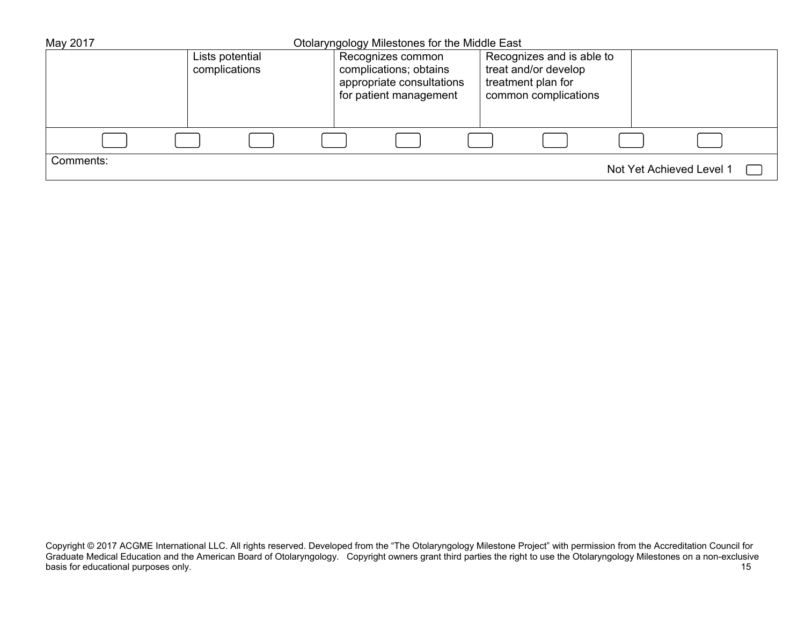| May 2017  |                                  | Otolaryngology Milestones for the Middle East |  |                                                                                                    |  |                                                                                                 |  |                          |  |
|-----------|----------------------------------|-----------------------------------------------|--|----------------------------------------------------------------------------------------------------|--|-------------------------------------------------------------------------------------------------|--|--------------------------|--|
|           | Lists potential<br>complications |                                               |  | Recognizes common<br>complications; obtains<br>appropriate consultations<br>for patient management |  | Recognizes and is able to<br>treat and/or develop<br>treatment plan for<br>common complications |  |                          |  |
|           |                                  |                                               |  |                                                                                                    |  |                                                                                                 |  |                          |  |
| Comments: |                                  |                                               |  |                                                                                                    |  |                                                                                                 |  | Not Yet Achieved Level 1 |  |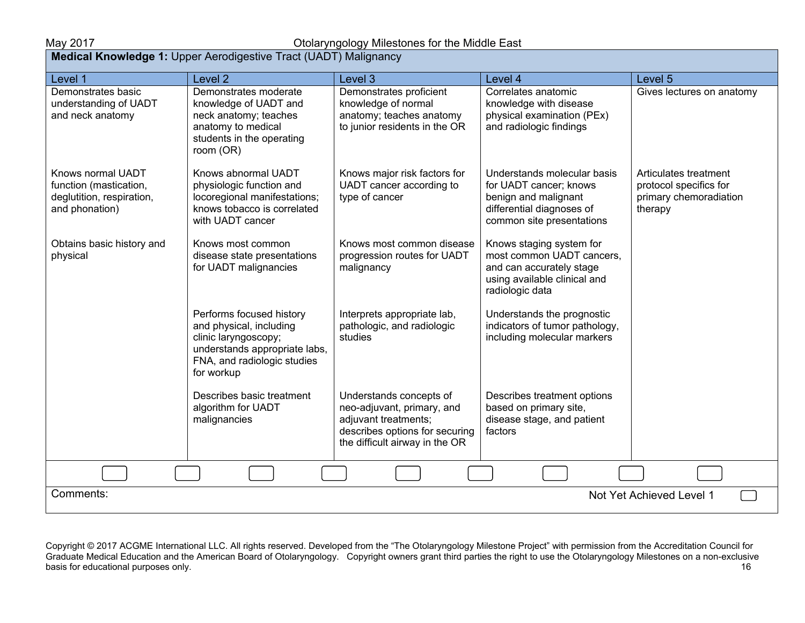## May 2017 Otolaryngology Milestones for the Middle East

| <b>Medical Knowledge 1: Upper Aerodigestive Tract (UADT) Malignancy</b>                    |                                                                                                                                                           |                                                                                                                                                   |                                                                                                                                         |                                                                                      |  |  |  |
|--------------------------------------------------------------------------------------------|-----------------------------------------------------------------------------------------------------------------------------------------------------------|---------------------------------------------------------------------------------------------------------------------------------------------------|-----------------------------------------------------------------------------------------------------------------------------------------|--------------------------------------------------------------------------------------|--|--|--|
| Level 1                                                                                    | Level <sub>2</sub>                                                                                                                                        | Level 3                                                                                                                                           | Level 4                                                                                                                                 | Level 5                                                                              |  |  |  |
| Demonstrates basic<br>understanding of UADT<br>and neck anatomy                            | Demonstrates moderate<br>knowledge of UADT and<br>neck anatomy; teaches<br>anatomy to medical<br>students in the operating<br>room (OR)                   | Demonstrates proficient<br>knowledge of normal<br>anatomy; teaches anatomy<br>to junior residents in the OR                                       | Correlates anatomic<br>knowledge with disease<br>physical examination (PEx)<br>and radiologic findings                                  | Gives lectures on anatomy                                                            |  |  |  |
| Knows normal UADT<br>function (mastication,<br>deglutition, respiration,<br>and phonation) | Knows abnormal UADT<br>physiologic function and<br>locoregional manifestations;<br>knows tobacco is correlated<br>with UADT cancer                        | Knows major risk factors for<br>UADT cancer according to<br>type of cancer                                                                        | Understands molecular basis<br>for UADT cancer; knows<br>benign and malignant<br>differential diagnoses of<br>common site presentations | Articulates treatment<br>protocol specifics for<br>primary chemoradiation<br>therapy |  |  |  |
| Obtains basic history and<br>physical                                                      | Knows most common<br>disease state presentations<br>for UADT malignancies                                                                                 | Knows most common disease<br>progression routes for UADT<br>malignancy                                                                            | Knows staging system for<br>most common UADT cancers,<br>and can accurately stage<br>using available clinical and<br>radiologic data    |                                                                                      |  |  |  |
|                                                                                            | Performs focused history<br>and physical, including<br>clinic laryngoscopy;<br>understands appropriate labs,<br>FNA, and radiologic studies<br>for workup | Interprets appropriate lab,<br>pathologic, and radiologic<br>studies                                                                              | Understands the prognostic<br>indicators of tumor pathology,<br>including molecular markers                                             |                                                                                      |  |  |  |
|                                                                                            | Describes basic treatment<br>algorithm for UADT<br>malignancies                                                                                           | Understands concepts of<br>neo-adjuvant, primary, and<br>adjuvant treatments;<br>describes options for securing<br>the difficult airway in the OR | Describes treatment options<br>based on primary site,<br>disease stage, and patient<br>factors                                          |                                                                                      |  |  |  |
|                                                                                            |                                                                                                                                                           |                                                                                                                                                   |                                                                                                                                         |                                                                                      |  |  |  |
| Comments:<br>Not Yet Achieved Level 1                                                      |                                                                                                                                                           |                                                                                                                                                   |                                                                                                                                         |                                                                                      |  |  |  |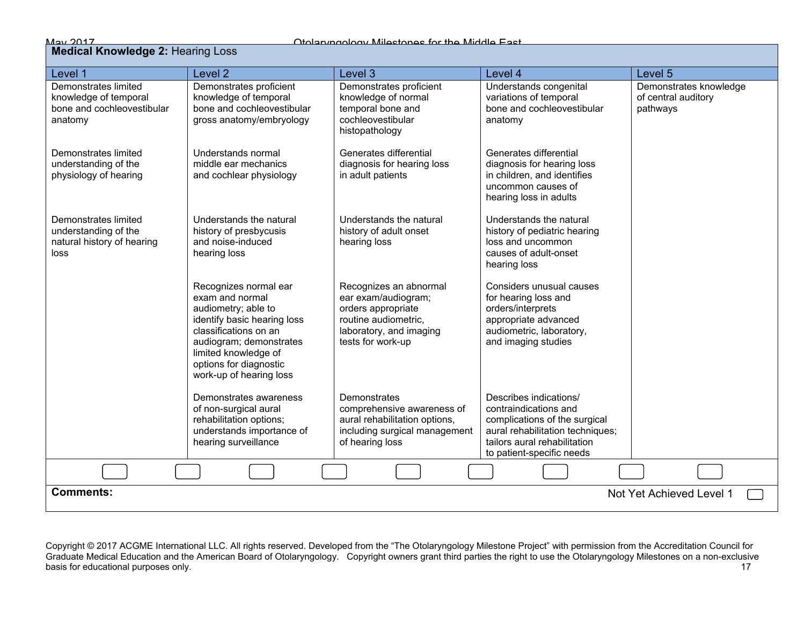|--|

### **Medical Knowledge 2:** Hearing Loss

| Level 1                                                                                | Level <sub>2</sub>                                                                                                                                                                                                              | Level <sub>3</sub>                                                                                                                          | Level 4                                                                                                                                                                           | Level 5                                                   |  |  |  |
|----------------------------------------------------------------------------------------|---------------------------------------------------------------------------------------------------------------------------------------------------------------------------------------------------------------------------------|---------------------------------------------------------------------------------------------------------------------------------------------|-----------------------------------------------------------------------------------------------------------------------------------------------------------------------------------|-----------------------------------------------------------|--|--|--|
| Demonstrates limited<br>knowledge of temporal<br>bone and cochleovestibular<br>anatomy | Demonstrates proficient<br>knowledge of temporal<br>bone and cochleovestibular<br>gross anatomy/embryology                                                                                                                      | Demonstrates proficient<br>knowledge of normal<br>temporal bone and<br>cochleovestibular<br>histopathology                                  | Understands congenital<br>variations of temporal<br>bone and cochleovestibular<br>anatomy                                                                                         | Demonstrates knowledge<br>of central auditory<br>pathways |  |  |  |
| Demonstrates limited<br>understanding of the<br>physiology of hearing                  | Understands normal<br>middle ear mechanics<br>and cochlear physiology                                                                                                                                                           | Generates differential<br>diagnosis for hearing loss<br>in adult patients                                                                   | Generates differential<br>diagnosis for hearing loss<br>in children, and identifies<br>uncommon causes of<br>hearing loss in adults                                               |                                                           |  |  |  |
| Demonstrates limited<br>understanding of the<br>natural history of hearing<br>loss     | Understands the natural<br>history of presbycusis<br>and noise-induced<br>hearing loss                                                                                                                                          | Understands the natural<br>history of adult onset<br>hearing loss                                                                           | Understands the natural<br>history of pediatric hearing<br>loss and uncommon<br>causes of adult-onset<br>hearing loss                                                             |                                                           |  |  |  |
|                                                                                        | Recognizes normal ear<br>exam and normal<br>audiometry; able to<br>identify basic hearing loss<br>classifications on an<br>audiogram; demonstrates<br>limited knowledge of<br>options for diagnostic<br>work-up of hearing loss | Recognizes an abnormal<br>ear exam/audiogram;<br>orders appropriate<br>routine audiometric,<br>laboratory, and imaging<br>tests for work-up | Considers unusual causes<br>for hearing loss and<br>orders/interprets<br>appropriate advanced<br>audiometric, laboratory,<br>and imaging studies                                  |                                                           |  |  |  |
|                                                                                        | Demonstrates awareness<br>of non-surgical aural<br>rehabilitation options;<br>understands importance of<br>hearing surveillance                                                                                                 | Demonstrates<br>comprehensive awareness of<br>aural rehabilitation options,<br>including surgical management<br>of hearing loss             | Describes indications/<br>contraindications and<br>complications of the surgical<br>aural rehabilitation techniques;<br>tailors aural rehabilitation<br>to patient-specific needs |                                                           |  |  |  |
|                                                                                        |                                                                                                                                                                                                                                 |                                                                                                                                             |                                                                                                                                                                                   |                                                           |  |  |  |
| <b>Comments:</b><br>Not Yet Achieved Level 1                                           |                                                                                                                                                                                                                                 |                                                                                                                                             |                                                                                                                                                                                   |                                                           |  |  |  |

Copyright © 2017 ACGME International LLC. All rights reserved. Developed from the "The Otolaryngology Milestone Project" with permission from the Accreditation Council for Graduate Medical Education and the American Board of Otolaryngology. Copyright owners grant third parties the right to use the Otolaryngology Milestones on a non-exclusive basis for educational purposes only. The contract of the contract of the contract of the contract of the contract of the contract of the contract of the contract of the contract of the contract of the contract of the contr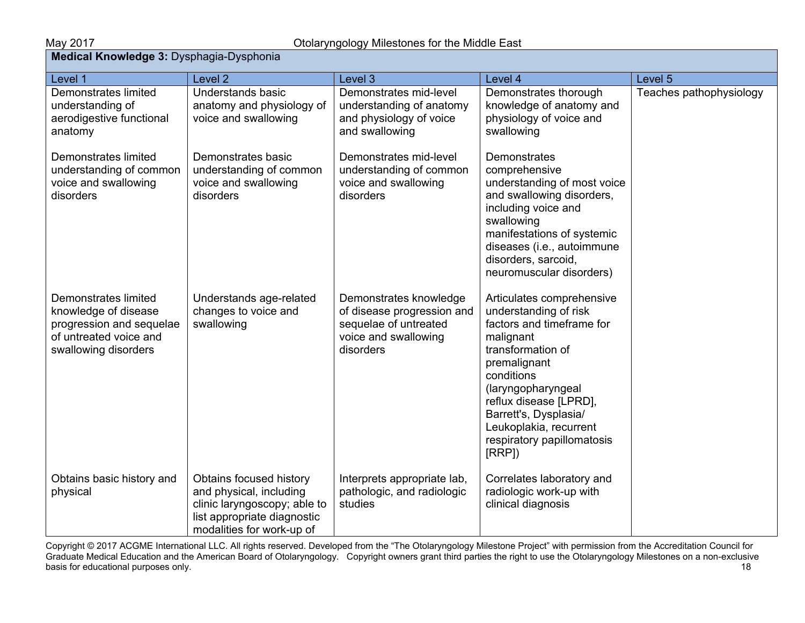Teaches pathophysiology

| <b>Medical Knowledge 3: Dysphagia-Dysphonia</b>                                      |                                                                                    |                                                                                                 |                                                                                                                                |         |  |  |  |
|--------------------------------------------------------------------------------------|------------------------------------------------------------------------------------|-------------------------------------------------------------------------------------------------|--------------------------------------------------------------------------------------------------------------------------------|---------|--|--|--|
| Level 1                                                                              | Level 2                                                                            | Level 3                                                                                         | Level 4                                                                                                                        | Level 5 |  |  |  |
| Demonstrates limited<br>understanding of<br>aerodigestive functional<br>anatomy      | Understands basic<br>anatomy and physiology of<br>voice and swallowing             | Demonstrates mid-level<br>understanding of anatomy<br>and physiology of voice<br>and swallowing | Demonstrates thorough<br>knowledge of anatomy and<br>physiology of voice and<br>swallowing                                     | Teache: |  |  |  |
| Demonstrates limited<br>understanding of common<br>voice and swallowing<br>disorders | Demonstrates basic<br>understanding of common<br>voice and swallowing<br>disorders | Demonstrates mid-level<br>understanding of common<br>voice and swallowing<br>disorders          | Demonstrates<br>comprehensive<br>understanding of most voice<br>and swallowing disorders,<br>including voice and<br>swallowing |         |  |  |  |

| Demonstrates limited<br>knowledge of disease<br>progression and sequelae<br>of untreated voice and<br>swallowing disorders | Understands age-related<br>changes to voice and<br>swallowing                                                                                  | Demonstrates knowledge<br>of disease progression and<br>sequelae of untreated<br>voice and swallowing<br>disorders | including voice and<br>swallowing<br>manifestations of systemic<br>diseases (i.e., autoimmune<br>disorders, sarcoid,<br>neuromuscular disorders)<br>Articulates comprehensive<br>understanding of risk<br>factors and timeframe for<br>malignant<br>transformation of<br>premalignant<br>conditions<br>(laryngopharyngeal<br>reflux disease [LPRD],<br>Barrett's, Dysplasia/<br>Leukoplakia, recurrent<br>respiratory papillomatosis<br>[RRP] |  |
|----------------------------------------------------------------------------------------------------------------------------|------------------------------------------------------------------------------------------------------------------------------------------------|--------------------------------------------------------------------------------------------------------------------|-----------------------------------------------------------------------------------------------------------------------------------------------------------------------------------------------------------------------------------------------------------------------------------------------------------------------------------------------------------------------------------------------------------------------------------------------|--|
| Obtains basic history and<br>physical                                                                                      | Obtains focused history<br>and physical, including<br>clinic laryngoscopy; able to<br>list appropriate diagnostic<br>modalities for work-up of | Interprets appropriate lab,<br>pathologic, and radiologic<br>studies                                               | Correlates laboratory and<br>radiologic work-up with<br>clinical diagnosis                                                                                                                                                                                                                                                                                                                                                                    |  |

Copyright © 2017 ACGME International LLC. All rights reserved. Developed from the "The Otolaryngology Milestone Project" with permission from the Accreditation Council for Graduate Medical Education and the American Board of Otolaryngology. Copyright owners grant third parties the right to use the Otolaryngology Milestones on a non-exclusive basis for educational purposes only. The contract of the contract of the contract of the contract of the contract of the contract of the contract of the contract of the contract of the contract of the contract of the contr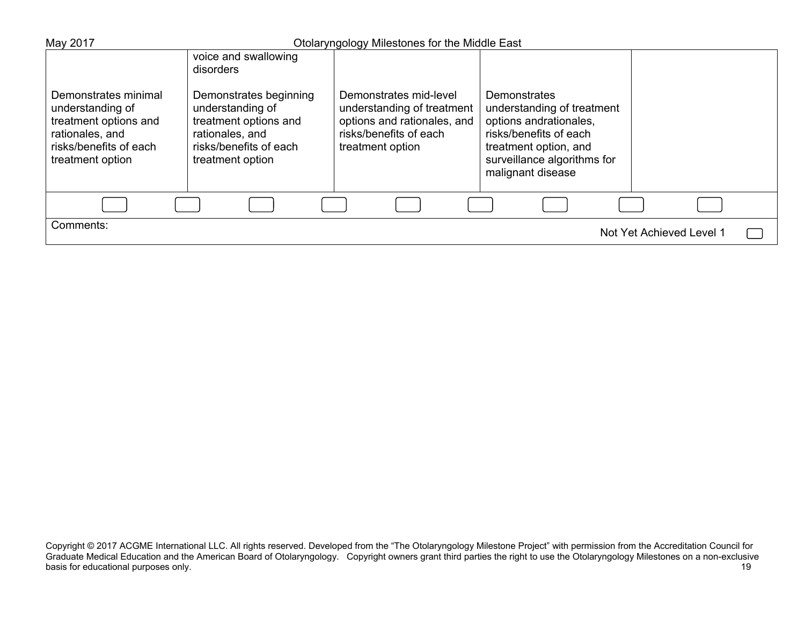| May 2017                                                                                                                           |                                                                                                                                      | Otolaryngology Milestones for the Middle East                                                                                     |                                                                                                                                                                             |                          |
|------------------------------------------------------------------------------------------------------------------------------------|--------------------------------------------------------------------------------------------------------------------------------------|-----------------------------------------------------------------------------------------------------------------------------------|-----------------------------------------------------------------------------------------------------------------------------------------------------------------------------|--------------------------|
|                                                                                                                                    | voice and swallowing<br>disorders                                                                                                    |                                                                                                                                   |                                                                                                                                                                             |                          |
| Demonstrates minimal<br>understanding of<br>treatment options and<br>rationales, and<br>risks/benefits of each<br>treatment option | Demonstrates beginning<br>understanding of<br>treatment options and<br>rationales, and<br>risks/benefits of each<br>treatment option | Demonstrates mid-level<br>understanding of treatment<br>options and rationales, and<br>risks/benefits of each<br>treatment option | Demonstrates<br>understanding of treatment<br>options andrationales,<br>risks/benefits of each<br>treatment option, and<br>surveillance algorithms for<br>malignant disease |                          |
|                                                                                                                                    |                                                                                                                                      |                                                                                                                                   |                                                                                                                                                                             |                          |
| Comments:                                                                                                                          |                                                                                                                                      |                                                                                                                                   |                                                                                                                                                                             | Not Yet Achieved Level 1 |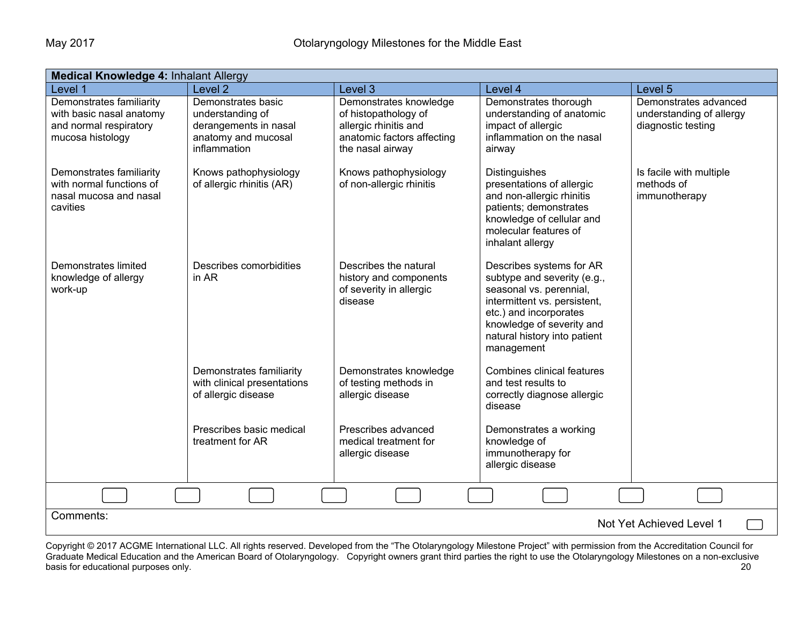| <b>Medical Knowledge 4: Inhalant Allergy</b>                                                       |                                                                                                        |                                                                                                                           |                                                                                                                                                                                                                         |                                                                         |  |  |  |
|----------------------------------------------------------------------------------------------------|--------------------------------------------------------------------------------------------------------|---------------------------------------------------------------------------------------------------------------------------|-------------------------------------------------------------------------------------------------------------------------------------------------------------------------------------------------------------------------|-------------------------------------------------------------------------|--|--|--|
| Level 1                                                                                            | Level <sub>2</sub>                                                                                     | Level 3                                                                                                                   | Level 4                                                                                                                                                                                                                 | Level 5                                                                 |  |  |  |
| Demonstrates familiarity<br>with basic nasal anatomy<br>and normal respiratory<br>mucosa histology | Demonstrates basic<br>understanding of<br>derangements in nasal<br>anatomy and mucosal<br>inflammation | Demonstrates knowledge<br>of histopathology of<br>allergic rhinitis and<br>anatomic factors affecting<br>the nasal airway | Demonstrates thorough<br>understanding of anatomic<br>impact of allergic<br>inflammation on the nasal<br>airway                                                                                                         | Demonstrates advanced<br>understanding of allergy<br>diagnostic testing |  |  |  |
| Demonstrates familiarity<br>with normal functions of<br>nasal mucosa and nasal<br>cavities         | Knows pathophysiology<br>of allergic rhinitis (AR)                                                     | Knows pathophysiology<br>of non-allergic rhinitis                                                                         | Distinguishes<br>presentations of allergic<br>and non-allergic rhinitis<br>patients; demonstrates<br>knowledge of cellular and<br>molecular features of<br>inhalant allergy                                             | Is facile with multiple<br>methods of<br>immunotherapy                  |  |  |  |
| Demonstrates limited<br>knowledge of allergy<br>work-up                                            | Describes comorbidities<br>in AR                                                                       | Describes the natural<br>history and components<br>of severity in allergic<br>disease                                     | Describes systems for AR<br>subtype and severity (e.g.,<br>seasonal vs. perennial,<br>intermittent vs. persistent,<br>etc.) and incorporates<br>knowledge of severity and<br>natural history into patient<br>management |                                                                         |  |  |  |
|                                                                                                    | Demonstrates familiarity<br>with clinical presentations<br>of allergic disease                         | Demonstrates knowledge<br>of testing methods in<br>allergic disease                                                       | <b>Combines clinical features</b><br>and test results to<br>correctly diagnose allergic<br>disease                                                                                                                      |                                                                         |  |  |  |
|                                                                                                    | Prescribes basic medical<br>treatment for AR                                                           | Prescribes advanced<br>medical treatment for<br>allergic disease                                                          | Demonstrates a working<br>knowledge of<br>immunotherapy for<br>allergic disease                                                                                                                                         |                                                                         |  |  |  |
|                                                                                                    |                                                                                                        |                                                                                                                           |                                                                                                                                                                                                                         |                                                                         |  |  |  |
| Comments:<br>Not Yet Achieved Level 1                                                              |                                                                                                        |                                                                                                                           |                                                                                                                                                                                                                         |                                                                         |  |  |  |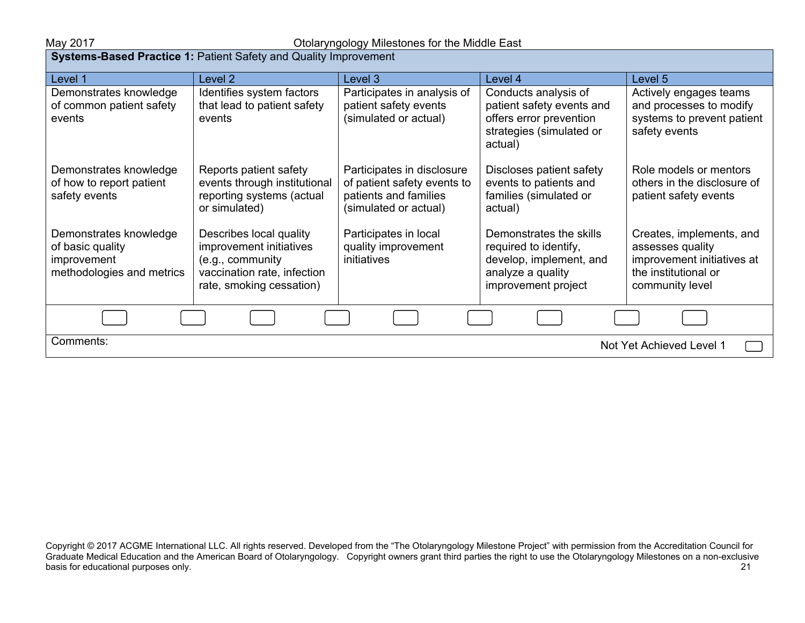| <b>Systems-Based Practice 1: Patient Safety and Quality Improvement</b>                |                                                                                                                                   |                                                                                                             |                                                                                                                         |                                                                                                                       |  |  |  |
|----------------------------------------------------------------------------------------|-----------------------------------------------------------------------------------------------------------------------------------|-------------------------------------------------------------------------------------------------------------|-------------------------------------------------------------------------------------------------------------------------|-----------------------------------------------------------------------------------------------------------------------|--|--|--|
| Level 1                                                                                | Level 2                                                                                                                           | Level 3                                                                                                     | Level 4                                                                                                                 | Level 5                                                                                                               |  |  |  |
| Demonstrates knowledge<br>of common patient safety<br>events                           | Identifies system factors<br>that lead to patient safety<br>events                                                                | Participates in analysis of<br>patient safety events<br>(simulated or actual)                               | Conducts analysis of<br>patient safety events and<br>offers error prevention<br>strategies (simulated or<br>actual)     | Actively engages teams<br>and processes to modify<br>systems to prevent patient<br>safety events                      |  |  |  |
| Demonstrates knowledge<br>of how to report patient<br>safety events                    | Reports patient safety<br>events through institutional<br>reporting systems (actual<br>or simulated)                              | Participates in disclosure<br>of patient safety events to<br>patients and families<br>(simulated or actual) | Discloses patient safety<br>events to patients and<br>families (simulated or<br>actual)                                 | Role models or mentors<br>others in the disclosure of<br>patient safety events                                        |  |  |  |
| Demonstrates knowledge<br>of basic quality<br>improvement<br>methodologies and metrics | Describes local quality<br>improvement initiatives<br>(e.g., community<br>vaccination rate, infection<br>rate, smoking cessation) | Participates in local<br>quality improvement<br>initiatives                                                 | Demonstrates the skills<br>required to identify,<br>develop, implement, and<br>analyze a quality<br>improvement project | Creates, implements, and<br>assesses quality<br>improvement initiatives at<br>the institutional or<br>community level |  |  |  |
|                                                                                        |                                                                                                                                   |                                                                                                             |                                                                                                                         |                                                                                                                       |  |  |  |
| Comments:<br>Not Yet Achieved Level 1                                                  |                                                                                                                                   |                                                                                                             |                                                                                                                         |                                                                                                                       |  |  |  |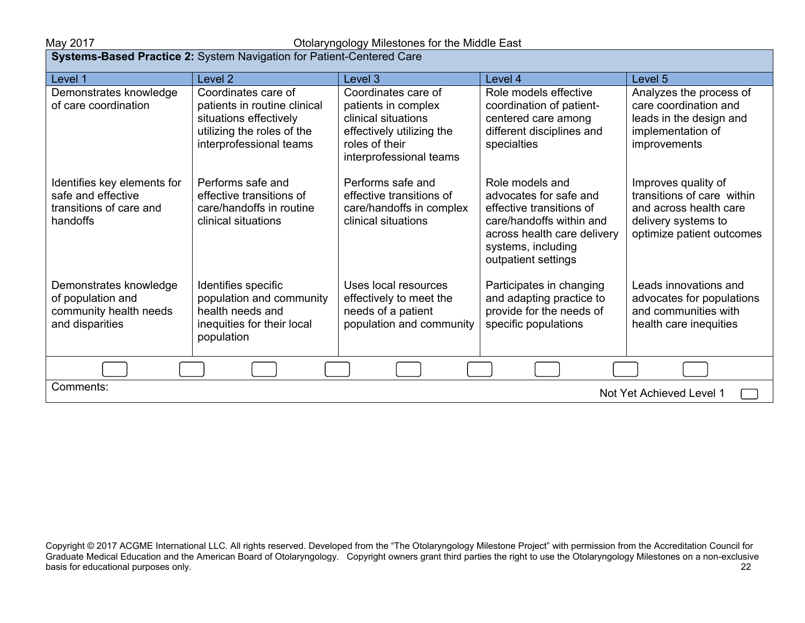### May 2017 Otolaryngology Milestones for the Middle East

| Systems-Based Practice 2: System Navigation for Patient-Centered Care                    |                                                                                                                                        |                                                                                                                                             |                                                                                                                                                                               |                                                                                                                                 |  |
|------------------------------------------------------------------------------------------|----------------------------------------------------------------------------------------------------------------------------------------|---------------------------------------------------------------------------------------------------------------------------------------------|-------------------------------------------------------------------------------------------------------------------------------------------------------------------------------|---------------------------------------------------------------------------------------------------------------------------------|--|
| Level 1                                                                                  | Level 2                                                                                                                                | Level 3                                                                                                                                     | Level 4                                                                                                                                                                       | Level 5                                                                                                                         |  |
| Demonstrates knowledge<br>of care coordination                                           | Coordinates care of<br>patients in routine clinical<br>situations effectively<br>utilizing the roles of the<br>interprofessional teams | Coordinates care of<br>patients in complex<br>clinical situations<br>effectively utilizing the<br>roles of their<br>interprofessional teams | Role models effective<br>coordination of patient-<br>centered care among<br>different disciplines and<br>specialties                                                          | Analyzes the process of<br>care coordination and<br>leads in the design and<br>implementation of<br>improvements                |  |
| Identifies key elements for<br>safe and effective<br>transitions of care and<br>handoffs | Performs safe and<br>effective transitions of<br>care/handoffs in routine<br>clinical situations                                       | Performs safe and<br>effective transitions of<br>care/handoffs in complex<br>clinical situations                                            | Role models and<br>advocates for safe and<br>effective transitions of<br>care/handoffs within and<br>across health care delivery<br>systems, including<br>outpatient settings | Improves quality of<br>transitions of care within<br>and across health care<br>delivery systems to<br>optimize patient outcomes |  |
| Demonstrates knowledge<br>of population and<br>community health needs<br>and disparities | Identifies specific<br>population and community<br>health needs and<br>inequities for their local<br>population                        | Uses local resources<br>effectively to meet the<br>needs of a patient<br>population and community                                           | Participates in changing<br>and adapting practice to<br>provide for the needs of<br>specific populations                                                                      | Leads innovations and<br>advocates for populations<br>and communities with<br>health care inequities                            |  |
|                                                                                          |                                                                                                                                        |                                                                                                                                             |                                                                                                                                                                               |                                                                                                                                 |  |
| Comments:<br>Not Yet Achieved Level 1                                                    |                                                                                                                                        |                                                                                                                                             |                                                                                                                                                                               |                                                                                                                                 |  |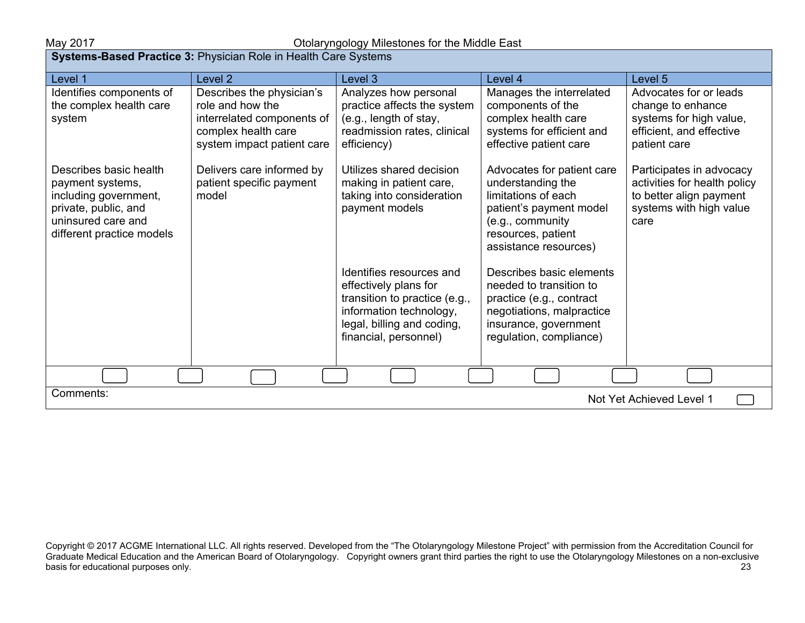| <b>Systems-Based Practice 3: Physician Role in Health Care Systems</b>                                                                         |                                                                                                                                  |                                                                                                                                                                      |                                                                                                                                                                      |                                                                                                                        |  |  |
|------------------------------------------------------------------------------------------------------------------------------------------------|----------------------------------------------------------------------------------------------------------------------------------|----------------------------------------------------------------------------------------------------------------------------------------------------------------------|----------------------------------------------------------------------------------------------------------------------------------------------------------------------|------------------------------------------------------------------------------------------------------------------------|--|--|
| Level 1                                                                                                                                        | Level <sub>2</sub>                                                                                                               | Level 3                                                                                                                                                              | Level 4                                                                                                                                                              | Level 5                                                                                                                |  |  |
| Identifies components of<br>the complex health care<br>system                                                                                  | Describes the physician's<br>role and how the<br>interrelated components of<br>complex health care<br>system impact patient care | Analyzes how personal<br>practice affects the system<br>(e.g., length of stay,<br>readmission rates, clinical<br>efficiency)                                         | Manages the interrelated<br>components of the<br>complex health care<br>systems for efficient and<br>effective patient care                                          | Advocates for or leads<br>change to enhance<br>systems for high value,<br>efficient, and effective<br>patient care     |  |  |
| Describes basic health<br>payment systems,<br>including government,<br>private, public, and<br>uninsured care and<br>different practice models | Delivers care informed by<br>patient specific payment<br>model                                                                   | Utilizes shared decision<br>making in patient care,<br>taking into consideration<br>payment models                                                                   | Advocates for patient care<br>understanding the<br>limitations of each<br>patient's payment model<br>(e.g., community<br>resources, patient<br>assistance resources) | Participates in advocacy<br>activities for health policy<br>to better align payment<br>systems with high value<br>care |  |  |
|                                                                                                                                                |                                                                                                                                  | Identifies resources and<br>effectively plans for<br>transition to practice (e.g.,<br>information technology,<br>legal, billing and coding,<br>financial, personnel) | Describes basic elements<br>needed to transition to<br>practice (e.g., contract<br>negotiations, malpractice<br>insurance, government<br>regulation, compliance)     |                                                                                                                        |  |  |
|                                                                                                                                                |                                                                                                                                  |                                                                                                                                                                      |                                                                                                                                                                      |                                                                                                                        |  |  |
| Comments:<br>Not Yet Achieved Level 1                                                                                                          |                                                                                                                                  |                                                                                                                                                                      |                                                                                                                                                                      |                                                                                                                        |  |  |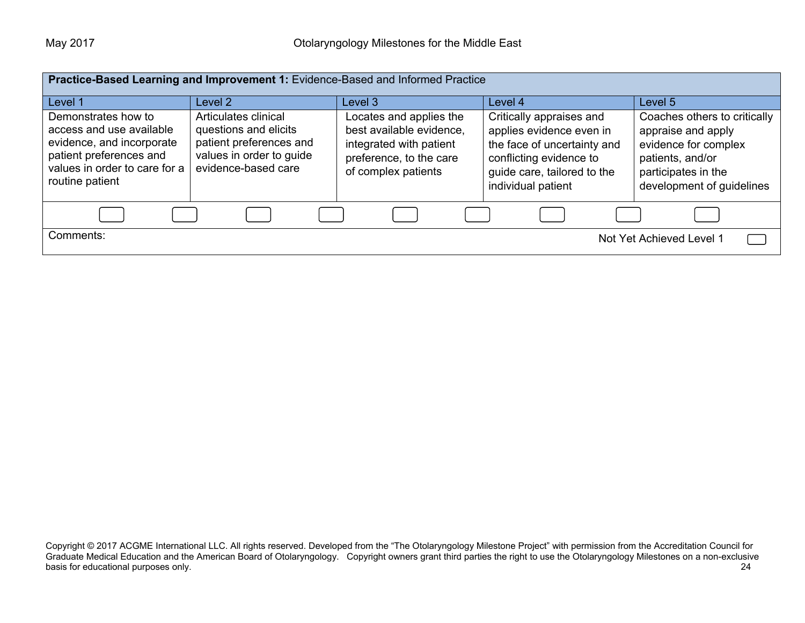| Practice-Based Learning and Improvement 1: Evidence-Based and Informed Practice                                                                                        |                                                                                                                                        |                                                                                                                                             |                                                                                                                                                                                |                                                                                                                                                               |  |
|------------------------------------------------------------------------------------------------------------------------------------------------------------------------|----------------------------------------------------------------------------------------------------------------------------------------|---------------------------------------------------------------------------------------------------------------------------------------------|--------------------------------------------------------------------------------------------------------------------------------------------------------------------------------|---------------------------------------------------------------------------------------------------------------------------------------------------------------|--|
| Level 1<br>Demonstrates how to<br>access and use available<br>evidence, and incorporate<br>patient preferences and<br>values in order to care for a<br>routine patient | Level 2<br>Articulates clinical<br>questions and elicits<br>patient preferences and<br>values in order to guide<br>evidence-based care | Level 3<br>Locates and applies the<br>best available evidence,<br>integrated with patient<br>preference, to the care<br>of complex patients | Level 4<br>Critically appraises and<br>applies evidence even in<br>the face of uncertainty and<br>conflicting evidence to<br>guide care, tailored to the<br>individual patient | Level 5<br>Coaches others to critically<br>appraise and apply<br>evidence for complex<br>patients, and/or<br>participates in the<br>development of guidelines |  |
|                                                                                                                                                                        |                                                                                                                                        |                                                                                                                                             |                                                                                                                                                                                |                                                                                                                                                               |  |
| Comments:                                                                                                                                                              |                                                                                                                                        |                                                                                                                                             |                                                                                                                                                                                | Not Yet Achieved Level 1                                                                                                                                      |  |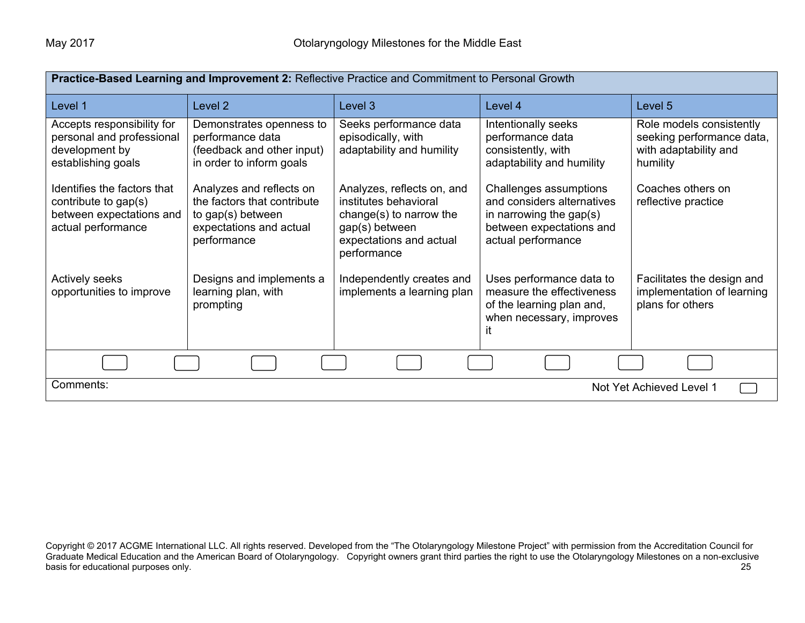| Practice-Based Learning and Improvement 2: Reflective Practice and Commitment to Personal Growth      |                                                                                                                        |                                                                                                                                            |                                                                                                                                      |                                                                                            |  |
|-------------------------------------------------------------------------------------------------------|------------------------------------------------------------------------------------------------------------------------|--------------------------------------------------------------------------------------------------------------------------------------------|--------------------------------------------------------------------------------------------------------------------------------------|--------------------------------------------------------------------------------------------|--|
| Level 1                                                                                               | Level 2                                                                                                                | Level 3                                                                                                                                    | Level 4                                                                                                                              | Level 5                                                                                    |  |
| Accepts responsibility for<br>personal and professional<br>development by<br>establishing goals       | Demonstrates openness to<br>performance data<br>(feedback and other input)<br>in order to inform goals                 | Seeks performance data<br>episodically, with<br>adaptability and humility                                                                  | Intentionally seeks<br>performance data<br>consistently, with<br>adaptability and humility                                           | Role models consistently<br>seeking performance data,<br>with adaptability and<br>humility |  |
| Identifies the factors that<br>contribute to gap(s)<br>between expectations and<br>actual performance | Analyzes and reflects on<br>the factors that contribute<br>to gap(s) between<br>expectations and actual<br>performance | Analyzes, reflects on, and<br>institutes behavioral<br>change(s) to narrow the<br>gap(s) between<br>expectations and actual<br>performance | Challenges assumptions<br>and considers alternatives<br>in narrowing the gap $(s)$<br>between expectations and<br>actual performance | Coaches others on<br>reflective practice                                                   |  |
| <b>Actively seeks</b><br>opportunities to improve                                                     | Designs and implements a<br>learning plan, with<br>prompting                                                           | Independently creates and<br>implements a learning plan                                                                                    | Uses performance data to<br>measure the effectiveness<br>of the learning plan and,<br>when necessary, improves<br>ıt                 | Facilitates the design and<br>implementation of learning<br>plans for others               |  |
|                                                                                                       |                                                                                                                        |                                                                                                                                            |                                                                                                                                      |                                                                                            |  |
| Comments:<br>Not Yet Achieved Level 1                                                                 |                                                                                                                        |                                                                                                                                            |                                                                                                                                      |                                                                                            |  |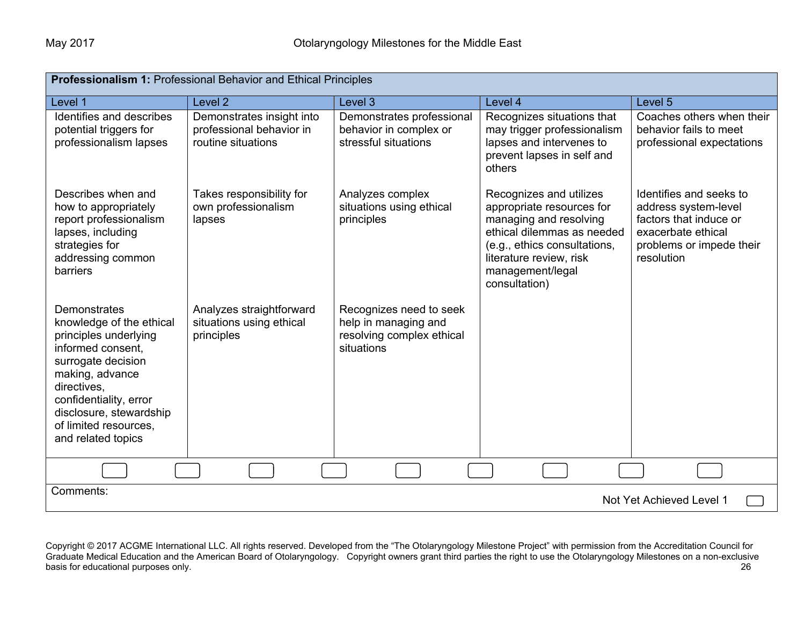| Professionalism 1: Professional Behavior and Ethical Principles                                                                                                                                                                                    |                                                                             |                                                                                            |                                                                                                                                                                                                              |                                                                                                                                           |  |
|----------------------------------------------------------------------------------------------------------------------------------------------------------------------------------------------------------------------------------------------------|-----------------------------------------------------------------------------|--------------------------------------------------------------------------------------------|--------------------------------------------------------------------------------------------------------------------------------------------------------------------------------------------------------------|-------------------------------------------------------------------------------------------------------------------------------------------|--|
| Level 1                                                                                                                                                                                                                                            | Level <sub>2</sub>                                                          | Level 3                                                                                    | Level 4                                                                                                                                                                                                      | Level 5                                                                                                                                   |  |
| Identifies and describes<br>potential triggers for<br>professionalism lapses                                                                                                                                                                       | Demonstrates insight into<br>professional behavior in<br>routine situations | Demonstrates professional<br>behavior in complex or<br>stressful situations                | Recognizes situations that<br>may trigger professionalism<br>lapses and intervenes to<br>prevent lapses in self and<br>others                                                                                | Coaches others when their<br>behavior fails to meet<br>professional expectations                                                          |  |
| Describes when and<br>how to appropriately<br>report professionalism<br>lapses, including<br>strategies for<br>addressing common<br><b>barriers</b>                                                                                                | Takes responsibility for<br>own professionalism<br>lapses                   | Analyzes complex<br>situations using ethical<br>principles                                 | Recognizes and utilizes<br>appropriate resources for<br>managing and resolving<br>ethical dilemmas as needed<br>(e.g., ethics consultations,<br>literature review, risk<br>management/legal<br>consultation) | Identifies and seeks to<br>address system-level<br>factors that induce or<br>exacerbate ethical<br>problems or impede their<br>resolution |  |
| Demonstrates<br>knowledge of the ethical<br>principles underlying<br>informed consent,<br>surrogate decision<br>making, advance<br>directives,<br>confidentiality, error<br>disclosure, stewardship<br>of limited resources.<br>and related topics | Analyzes straightforward<br>situations using ethical<br>principles          | Recognizes need to seek<br>help in managing and<br>resolving complex ethical<br>situations |                                                                                                                                                                                                              |                                                                                                                                           |  |
|                                                                                                                                                                                                                                                    |                                                                             |                                                                                            |                                                                                                                                                                                                              |                                                                                                                                           |  |
| Comments:<br>Not Yet Achieved Level 1                                                                                                                                                                                                              |                                                                             |                                                                                            |                                                                                                                                                                                                              |                                                                                                                                           |  |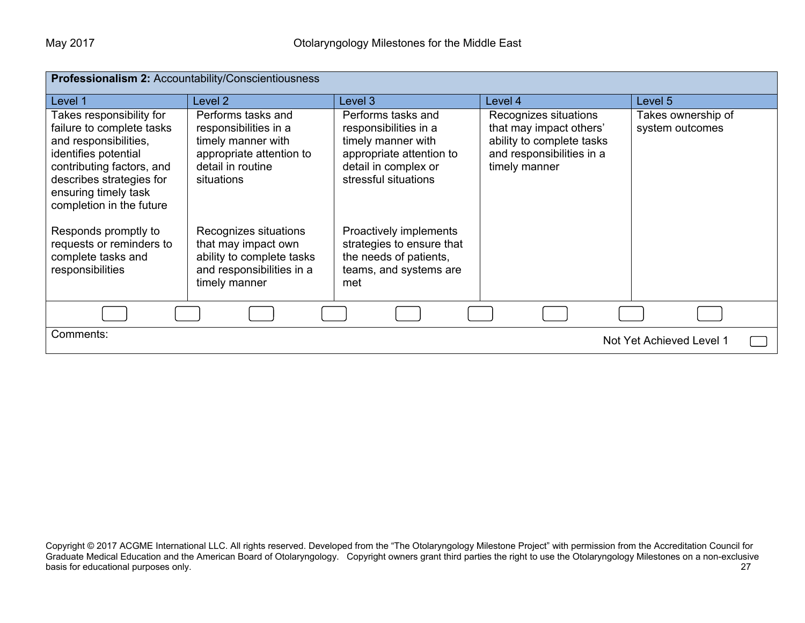| Professionalism 2: Accountability/Conscientiousness                                                                                                                                                                 |                                                                                                                                  |                                                                                                                                               |                                                                                                                             |                                       |  |
|---------------------------------------------------------------------------------------------------------------------------------------------------------------------------------------------------------------------|----------------------------------------------------------------------------------------------------------------------------------|-----------------------------------------------------------------------------------------------------------------------------------------------|-----------------------------------------------------------------------------------------------------------------------------|---------------------------------------|--|
| Level 1                                                                                                                                                                                                             | Level 2                                                                                                                          | Level 3                                                                                                                                       | Level 4                                                                                                                     | Level 5                               |  |
| Takes responsibility for<br>failure to complete tasks<br>and responsibilities,<br>identifies potential<br>contributing factors, and<br>describes strategies for<br>ensuring timely task<br>completion in the future | Performs tasks and<br>responsibilities in a<br>timely manner with<br>appropriate attention to<br>detail in routine<br>situations | Performs tasks and<br>responsibilities in a<br>timely manner with<br>appropriate attention to<br>detail in complex or<br>stressful situations | Recognizes situations<br>that may impact others'<br>ability to complete tasks<br>and responsibilities in a<br>timely manner | Takes ownership of<br>system outcomes |  |
| Responds promptly to<br>requests or reminders to<br>complete tasks and<br>responsibilities                                                                                                                          | Recognizes situations<br>that may impact own<br>ability to complete tasks<br>and responsibilities in a<br>timely manner          | Proactively implements<br>strategies to ensure that<br>the needs of patients,<br>teams, and systems are<br>met                                |                                                                                                                             |                                       |  |
|                                                                                                                                                                                                                     |                                                                                                                                  |                                                                                                                                               |                                                                                                                             |                                       |  |
| Comments:<br>Not Yet Achieved Level 1                                                                                                                                                                               |                                                                                                                                  |                                                                                                                                               |                                                                                                                             |                                       |  |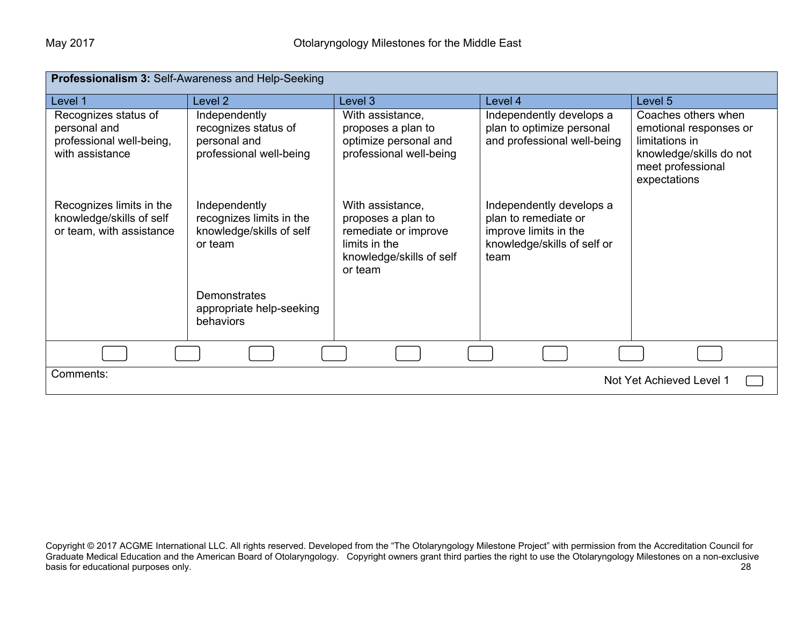| Professionalism 3: Self-Awareness and Help-Seeking                                  |                                                                                  |                                                                                                                        |                                                                                                                  |                                                                                                                                 |  |
|-------------------------------------------------------------------------------------|----------------------------------------------------------------------------------|------------------------------------------------------------------------------------------------------------------------|------------------------------------------------------------------------------------------------------------------|---------------------------------------------------------------------------------------------------------------------------------|--|
| Level 1                                                                             | Level <sub>2</sub>                                                               | Level 3                                                                                                                | Level 4                                                                                                          | Level 5                                                                                                                         |  |
| Recognizes status of<br>personal and<br>professional well-being,<br>with assistance | Independently<br>recognizes status of<br>personal and<br>professional well-being | With assistance,<br>proposes a plan to<br>optimize personal and<br>professional well-being                             | Independently develops a<br>plan to optimize personal<br>and professional well-being                             | Coaches others when<br>emotional responses or<br>limitations in<br>knowledge/skills do not<br>meet professional<br>expectations |  |
| Recognizes limits in the<br>knowledge/skills of self<br>or team, with assistance    | Independently<br>recognizes limits in the<br>knowledge/skills of self<br>or team | With assistance,<br>proposes a plan to<br>remediate or improve<br>limits in the<br>knowledge/skills of self<br>or team | Independently develops a<br>plan to remediate or<br>improve limits in the<br>knowledge/skills of self or<br>team |                                                                                                                                 |  |
|                                                                                     | <b>Demonstrates</b><br>appropriate help-seeking<br>behaviors                     |                                                                                                                        |                                                                                                                  |                                                                                                                                 |  |
|                                                                                     |                                                                                  |                                                                                                                        |                                                                                                                  |                                                                                                                                 |  |
| Comments:<br>Not Yet Achieved Level 1                                               |                                                                                  |                                                                                                                        |                                                                                                                  |                                                                                                                                 |  |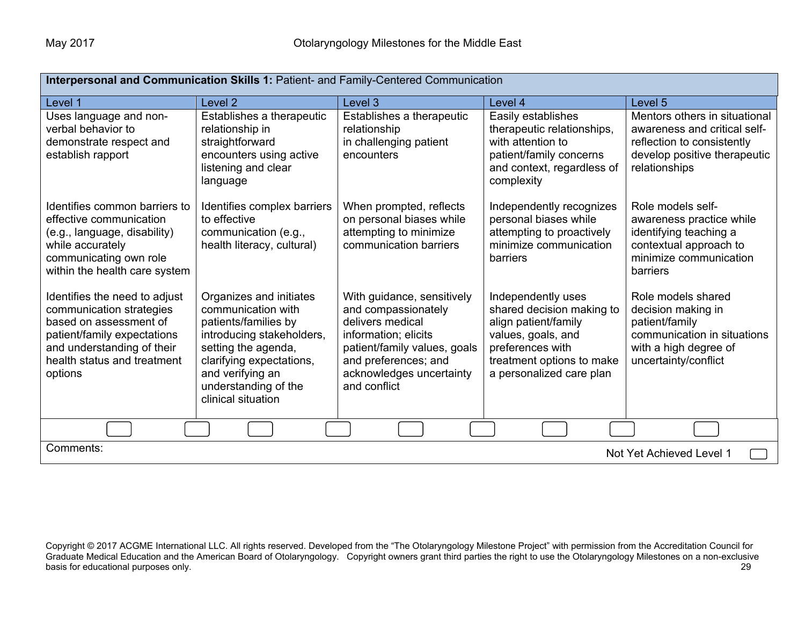| Interpersonal and Communication Skills 1: Patient- and Family-Centered Communication                                                                                                       |                                                                                                                                                                                                                         |                                                                                                                                                                                                   |                                                                                                                                                                            |                                                                                                                                              |  |
|--------------------------------------------------------------------------------------------------------------------------------------------------------------------------------------------|-------------------------------------------------------------------------------------------------------------------------------------------------------------------------------------------------------------------------|---------------------------------------------------------------------------------------------------------------------------------------------------------------------------------------------------|----------------------------------------------------------------------------------------------------------------------------------------------------------------------------|----------------------------------------------------------------------------------------------------------------------------------------------|--|
| Level 1                                                                                                                                                                                    | Level 2                                                                                                                                                                                                                 | Level 3                                                                                                                                                                                           | Level 4                                                                                                                                                                    | Level 5                                                                                                                                      |  |
| Uses language and non-<br>verbal behavior to<br>demonstrate respect and<br>establish rapport                                                                                               | Establishes a therapeutic<br>relationship in<br>straightforward<br>encounters using active<br>listening and clear<br>language                                                                                           | Establishes a therapeutic<br>relationship<br>in challenging patient<br>encounters                                                                                                                 | Easily establishes<br>therapeutic relationships,<br>with attention to<br>patient/family concerns<br>and context, regardless of<br>complexity                               | Mentors others in situational<br>awareness and critical self-<br>reflection to consistently<br>develop positive therapeutic<br>relationships |  |
| Identifies common barriers to<br>effective communication<br>(e.g., language, disability)<br>while accurately<br>communicating own role<br>within the health care system                    | Identifies complex barriers<br>to effective<br>communication (e.g.,<br>health literacy, cultural)                                                                                                                       | When prompted, reflects<br>on personal biases while<br>attempting to minimize<br>communication barriers                                                                                           | Independently recognizes<br>personal biases while<br>attempting to proactively<br>minimize communication<br>barriers                                                       | Role models self-<br>awareness practice while<br>identifying teaching a<br>contextual approach to<br>minimize communication<br>barriers      |  |
| Identifies the need to adjust<br>communication strategies<br>based on assessment of<br>patient/family expectations<br>and understanding of their<br>health status and treatment<br>options | Organizes and initiates<br>communication with<br>patients/families by<br>introducing stakeholders,<br>setting the agenda,<br>clarifying expectations,<br>and verifying an<br>understanding of the<br>clinical situation | With guidance, sensitively<br>and compassionately<br>delivers medical<br>information; elicits<br>patient/family values, goals<br>and preferences; and<br>acknowledges uncertainty<br>and conflict | Independently uses<br>shared decision making to<br>align patient/family<br>values, goals, and<br>preferences with<br>treatment options to make<br>a personalized care plan | Role models shared<br>decision making in<br>patient/family<br>communication in situations<br>with a high degree of<br>uncertainty/conflict   |  |
|                                                                                                                                                                                            |                                                                                                                                                                                                                         |                                                                                                                                                                                                   |                                                                                                                                                                            |                                                                                                                                              |  |
| Comments:<br>Not Yet Achieved Level 1                                                                                                                                                      |                                                                                                                                                                                                                         |                                                                                                                                                                                                   |                                                                                                                                                                            |                                                                                                                                              |  |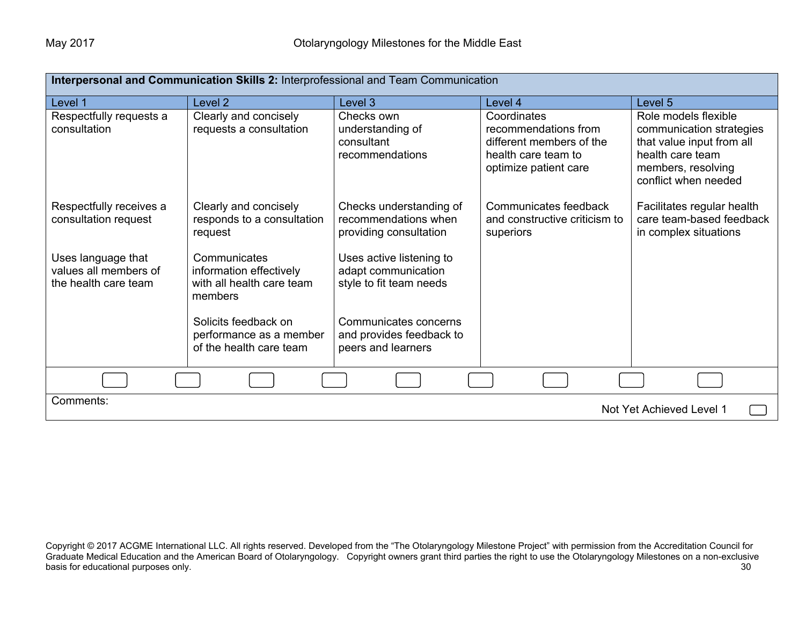| Interpersonal and Communication Skills 2: Interprofessional and Team Communication |                                                                                 |                                                                            |                                                                                                                 |                                                                                                                                                 |  |
|------------------------------------------------------------------------------------|---------------------------------------------------------------------------------|----------------------------------------------------------------------------|-----------------------------------------------------------------------------------------------------------------|-------------------------------------------------------------------------------------------------------------------------------------------------|--|
| Level 1                                                                            | Level <sub>2</sub>                                                              | Level 3                                                                    | Level 4                                                                                                         | Level 5                                                                                                                                         |  |
| Respectfully requests a<br>consultation                                            | Clearly and concisely<br>requests a consultation                                | Checks own<br>understanding of<br>consultant<br>recommendations            | Coordinates<br>recommendations from<br>different members of the<br>health care team to<br>optimize patient care | Role models flexible<br>communication strategies<br>that value input from all<br>health care team<br>members, resolving<br>conflict when needed |  |
| Respectfully receives a<br>consultation request                                    | Clearly and concisely<br>responds to a consultation<br>request                  | Checks understanding of<br>recommendations when<br>providing consultation  | Communicates feedback<br>and constructive criticism to<br>superiors                                             | Facilitates regular health<br>care team-based feedback<br>in complex situations                                                                 |  |
| Uses language that<br>values all members of<br>the health care team                | Communicates<br>information effectively<br>with all health care team<br>members | Uses active listening to<br>adapt communication<br>style to fit team needs |                                                                                                                 |                                                                                                                                                 |  |
|                                                                                    | Solicits feedback on<br>performance as a member<br>of the health care team      | Communicates concerns<br>and provides feedback to<br>peers and learners    |                                                                                                                 |                                                                                                                                                 |  |
|                                                                                    |                                                                                 |                                                                            |                                                                                                                 |                                                                                                                                                 |  |
| Comments:<br>Not Yet Achieved Level 1                                              |                                                                                 |                                                                            |                                                                                                                 |                                                                                                                                                 |  |